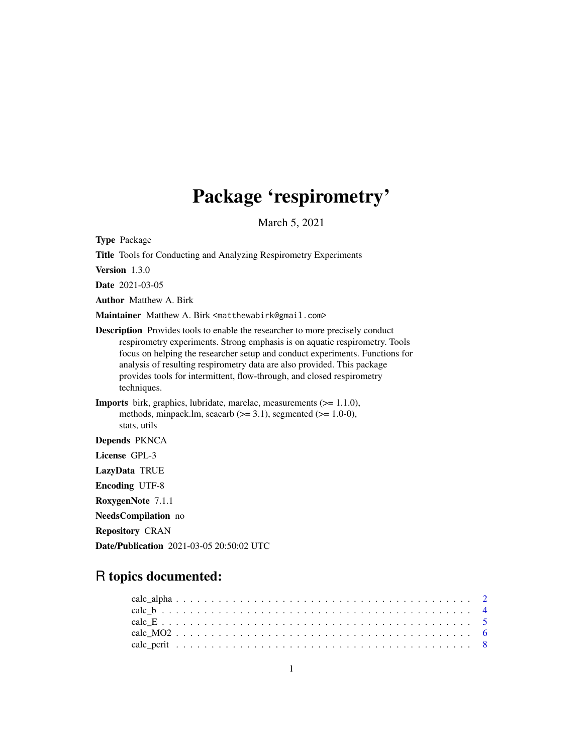# Package 'respirometry'

March 5, 2021

<span id="page-0-0"></span>Type Package

Title Tools for Conducting and Analyzing Respirometry Experiments Version 1.3.0 Date 2021-03-05 Author Matthew A. Birk Maintainer Matthew A. Birk <matthewabirk@gmail.com> Description Provides tools to enable the researcher to more precisely conduct respirometry experiments. Strong emphasis is on aquatic respirometry. Tools focus on helping the researcher setup and conduct experiments. Functions for analysis of resulting respirometry data are also provided. This package provides tools for intermittent, flow-through, and closed respirometry techniques. Imports birk, graphics, lubridate, marelac, measurements (>= 1.1.0), methods, minpack.lm, seacarb  $(>= 3.1)$ , segmented  $(>= 1.0-0)$ , stats, utils Depends PKNCA License GPL-3 LazyData TRUE Encoding UTF-8 RoxygenNote 7.1.1 NeedsCompilation no Repository CRAN

R topics documented:

Date/Publication 2021-03-05 20:50:02 UTC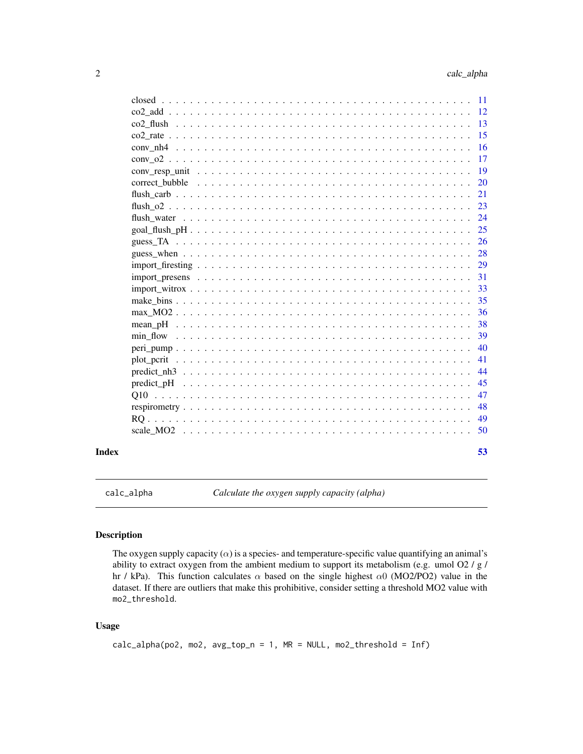<span id="page-1-0"></span>

| <sup>12</sup><br>13<br>15<br>16<br>17<br>19<br>20<br>21<br>23<br>24<br>25<br>26<br>28<br>29<br>31<br>33<br>35<br>36<br>38<br>39<br>40<br>41<br>44<br>45<br>47<br>48<br>49<br>50 | Index | 53  |
|---------------------------------------------------------------------------------------------------------------------------------------------------------------------------------|-------|-----|
|                                                                                                                                                                                 |       |     |
|                                                                                                                                                                                 |       |     |
|                                                                                                                                                                                 |       |     |
|                                                                                                                                                                                 |       |     |
|                                                                                                                                                                                 |       |     |
|                                                                                                                                                                                 |       |     |
|                                                                                                                                                                                 |       |     |
|                                                                                                                                                                                 |       |     |
|                                                                                                                                                                                 |       |     |
|                                                                                                                                                                                 |       |     |
|                                                                                                                                                                                 |       |     |
|                                                                                                                                                                                 |       |     |
|                                                                                                                                                                                 |       |     |
|                                                                                                                                                                                 |       |     |
|                                                                                                                                                                                 |       |     |
|                                                                                                                                                                                 |       |     |
|                                                                                                                                                                                 |       |     |
|                                                                                                                                                                                 |       |     |
|                                                                                                                                                                                 |       |     |
|                                                                                                                                                                                 |       |     |
|                                                                                                                                                                                 |       |     |
|                                                                                                                                                                                 |       |     |
|                                                                                                                                                                                 |       |     |
|                                                                                                                                                                                 |       |     |
|                                                                                                                                                                                 |       |     |
|                                                                                                                                                                                 |       |     |
|                                                                                                                                                                                 |       |     |
|                                                                                                                                                                                 |       | -11 |

<span id="page-1-1"></span>calc\_alpha *Calculate the oxygen supply capacity (alpha)*

# Description

The oxygen supply capacity  $(\alpha)$  is a species- and temperature-specific value quantifying an animal's ability to extract oxygen from the ambient medium to support its metabolism (e.g. umol O2 / g / hr / kPa). This function calculates  $\alpha$  based on the single highest  $\alpha$ 0 (MO2/PO2) value in the dataset. If there are outliers that make this prohibitive, consider setting a threshold MO2 value with mo2\_threshold.

# Usage

```
calc_alpha(po2, mo2, avg_top_n = 1, MR = NULL, mo2_threshold = Inf)
```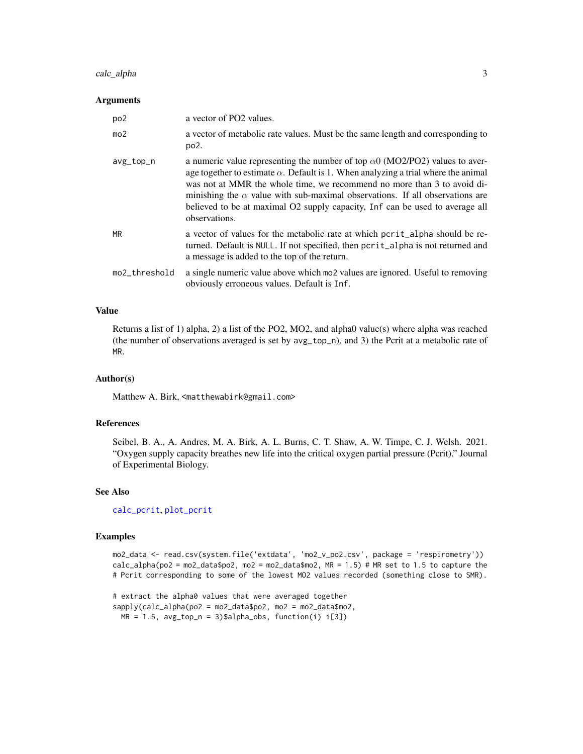# <span id="page-2-0"></span>calc\_alpha 3

#### Arguments

| po <sub>2</sub> | a vector of PO2 values.                                                                                                                                                                                                                                                                                                                                                                                                                             |
|-----------------|-----------------------------------------------------------------------------------------------------------------------------------------------------------------------------------------------------------------------------------------------------------------------------------------------------------------------------------------------------------------------------------------------------------------------------------------------------|
| mo <sub>2</sub> | a vector of metabolic rate values. Must be the same length and corresponding to<br>po <sub>2</sub> .                                                                                                                                                                                                                                                                                                                                                |
| avg_top_n       | a numeric value representing the number of top $\alpha$ 0 (MO2/PO2) values to aver-<br>age together to estimate $\alpha$ . Default is 1. When analyzing a trial where the animal<br>was not at MMR the whole time, we recommend no more than 3 to avoid di-<br>minishing the $\alpha$ value with sub-maximal observations. If all observations are<br>believed to be at maximal O2 supply capacity, Inf can be used to average all<br>observations. |
| <b>MR</b>       | a vector of values for the metabolic rate at which post-<br>turned. Default is NULL. If not specified, then pcrit_alpha is not returned and<br>a message is added to the top of the return.                                                                                                                                                                                                                                                         |
| mo2_threshold   | a single numeric value above which most values are ignored. Useful to removing<br>obviously erroneous values. Default is Inf.                                                                                                                                                                                                                                                                                                                       |

# Value

Returns a list of 1) alpha, 2) a list of the PO2, MO2, and alpha0 value(s) where alpha was reached (the number of observations averaged is set by avg\_top\_n), and 3) the Pcrit at a metabolic rate of MR.

# Author(s)

Matthew A. Birk, <matthewabirk@gmail.com>

# References

Seibel, B. A., A. Andres, M. A. Birk, A. L. Burns, C. T. Shaw, A. W. Timpe, C. J. Welsh. 2021. "Oxygen supply capacity breathes new life into the critical oxygen partial pressure (Pcrit)." Journal of Experimental Biology.

# See Also

[calc\\_pcrit](#page-7-1), [plot\\_pcrit](#page-40-1)

#### Examples

mo2\_data <- read.csv(system.file('extdata', 'mo2\_v\_po2.csv', package = 'respirometry')) calc\_alpha(po2 = mo2\_data\$po2, mo2 = mo2\_data\$mo2, MR = 1.5) # MR set to 1.5 to capture the # Pcrit corresponding to some of the lowest MO2 values recorded (something close to SMR).

```
# extract the alpha0 values that were averaged together
sapply(calc_alpha(po2 = mo2_data$po2, mo2 = mo2_data$mo2,
 MR = 1.5, avg_top_n = 3)$alpha_obs, function(i) i[3])
```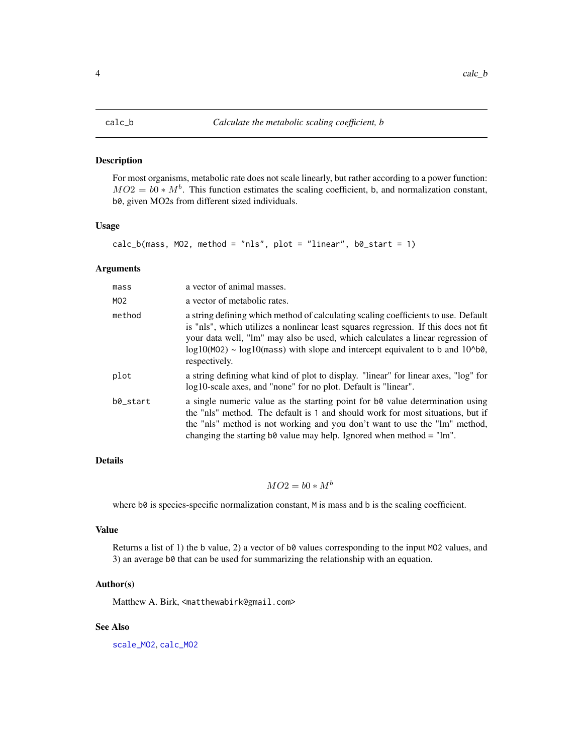#### <span id="page-3-1"></span><span id="page-3-0"></span>Description

For most organisms, metabolic rate does not scale linearly, but rather according to a power function:  $MO2 = b0 * M<sup>b</sup>$ . This function estimates the scaling coefficient, b, and normalization constant, b0, given MO2s from different sized individuals.

#### Usage

```
calc_b(mass, MO2, method = "nls", plot = "linear", bo_start = 1)
```
#### Arguments

| mass     | a vector of animal masses.                                                                                                                                                                                                                                                                                                                                                 |
|----------|----------------------------------------------------------------------------------------------------------------------------------------------------------------------------------------------------------------------------------------------------------------------------------------------------------------------------------------------------------------------------|
| MO2      | a vector of metabolic rates.                                                                                                                                                                                                                                                                                                                                               |
| method   | a string defining which method of calculating scaling coefficients to use. Default<br>is "nls", which utilizes a nonlinear least squares regression. If this does not fit<br>your data well, "lm" may also be used, which calculates a linear regression of<br>$log10(MO2)$ ~ $log10(mass)$ with slope and intercept equivalent to b and $10^{\circ}$ b0,<br>respectively. |
| plot     | a string defining what kind of plot to display. "linear" for linear axes, "log" for<br>log10-scale axes, and "none" for no plot. Default is "linear".                                                                                                                                                                                                                      |
| b0_start | a single numeric value as the starting point for b0 value determination using<br>the "nls" method. The default is 1 and should work for most situations, but if<br>the "nls" method is not working and you don't want to use the "lm" method,<br>changing the starting b0 value may help. Ignored when method $=$ "lm".                                                    |

# Details

# $MO2 = b0 * M^b$

where b0 is species-specific normalization constant, M is mass and b is the scaling coefficient.

# Value

Returns a list of 1) the b value, 2) a vector of b0 values corresponding to the input MO2 values, and 3) an average b0 that can be used for summarizing the relationship with an equation.

#### Author(s)

Matthew A. Birk, <matthewabirk@gmail.com>

# See Also

[scale\\_MO2](#page-49-1), [calc\\_MO2](#page-5-1)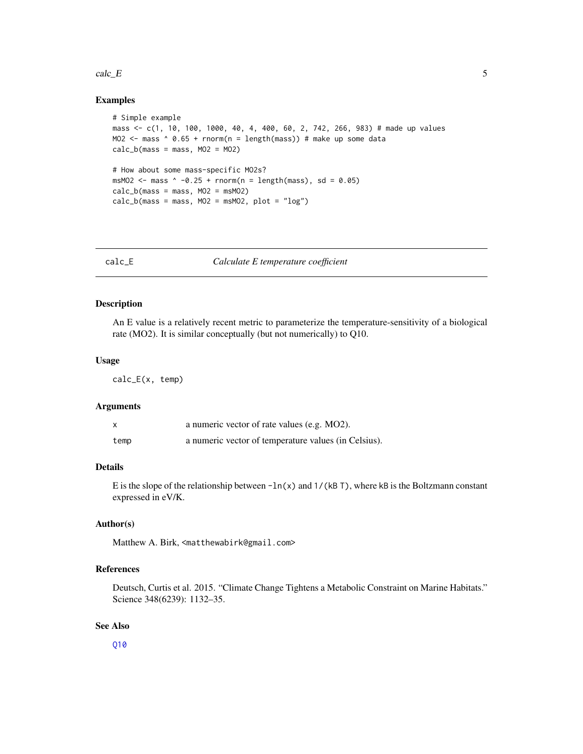#### <span id="page-4-0"></span> $\text{calc}_{\text{c}}E$  5

# Examples

```
# Simple example
mass <- c(1, 10, 100, 1000, 40, 4, 400, 60, 2, 742, 266, 983) # made up values
MO2 \le mass \land 0.65 + rnorm(n = length(mass)) # make up some data
calc_b(mass = mass, MO2 = MO2)# How about some mass-specific MO2s?
msMO2 \leq mass \land -0.25 + rnorm(n = length(mass), sd = 0.05)
calc_b(mass = mass, MO2 = msMO2)calc_b(mass = mass, MO2 = msMO2, plot = "log")
```
<span id="page-4-1"></span>

calc\_E *Calculate E temperature coefficient*

#### Description

An E value is a relatively recent metric to parameterize the temperature-sensitivity of a biological rate (MO2). It is similar conceptually (but not numerically) to Q10.

#### Usage

calc\_E(x, temp)

#### Arguments

|      | a numeric vector of rate values (e.g. MO2).          |
|------|------------------------------------------------------|
| temp | a numeric vector of temperature values (in Celsius). |

# Details

E is the slope of the relationship between  $-\ln(x)$  and  $1/(kB T)$ , where kB is the Boltzmann constant expressed in eV/K.

# Author(s)

Matthew A. Birk, <matthewabirk@gmail.com>

# References

Deutsch, Curtis et al. 2015. "Climate Change Tightens a Metabolic Constraint on Marine Habitats." Science 348(6239): 1132–35.

#### See Also

[Q10](#page-46-1)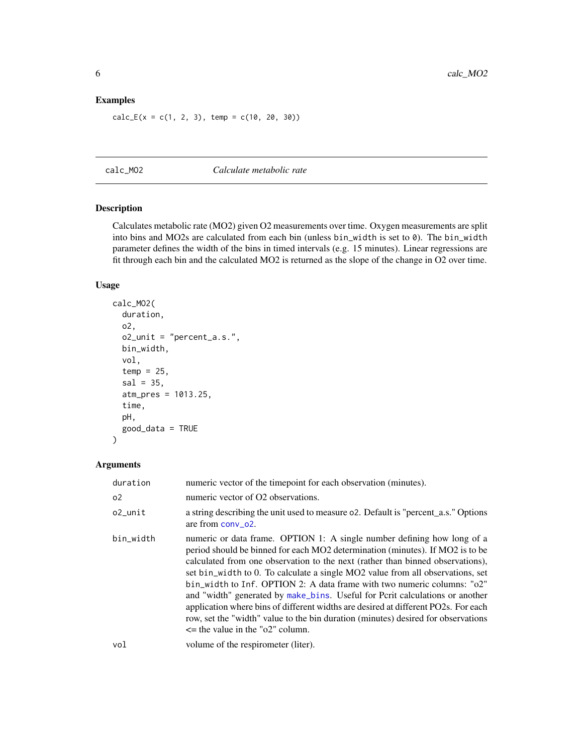# <span id="page-5-0"></span>Examples

 $calc_{E}(x = c(1, 2, 3), temp = c(10, 20, 30))$ 

<span id="page-5-1"></span>calc\_MO2 *Calculate metabolic rate*

#### Description

Calculates metabolic rate (MO2) given O2 measurements over time. Oxygen measurements are split into bins and MO2s are calculated from each bin (unless bin\_width is set to 0). The bin\_width parameter defines the width of the bins in timed intervals (e.g. 15 minutes). Linear regressions are fit through each bin and the calculated MO2 is returned as the slope of the change in O2 over time.

# Usage

```
calc_MO2(
  duration,
  o2,
  o2_unit = "percent_a.s.",
  bin_width,
  vol,
  temp = 25,
  sal = 35,
  atm_pres = 1013.25,
  time,
  pH,
  good_data = TRUE
\mathcal{L}
```

| duration       | numeric vector of the timepoint for each observation (minutes).                                                                                                                                                                                                                                                                                                                                                                                                                                                                                                                                                                                                                                           |
|----------------|-----------------------------------------------------------------------------------------------------------------------------------------------------------------------------------------------------------------------------------------------------------------------------------------------------------------------------------------------------------------------------------------------------------------------------------------------------------------------------------------------------------------------------------------------------------------------------------------------------------------------------------------------------------------------------------------------------------|
| 0 <sup>2</sup> | numeric vector of O2 observations.                                                                                                                                                                                                                                                                                                                                                                                                                                                                                                                                                                                                                                                                        |
| o2_unit        | a string describing the unit used to measure 02. Default is "percent_a.s." Options<br>are from $conv_02$ .                                                                                                                                                                                                                                                                                                                                                                                                                                                                                                                                                                                                |
| bin_width      | numeric or data frame. OPTION 1: A single number defining how long of a<br>period should be binned for each MO2 determination (minutes). If MO2 is to be<br>calculated from one observation to the next (rather than binned observations),<br>set bin_width to 0. To calculate a single MO2 value from all observations, set<br>bin_width to Inf. OPTION 2: A data frame with two numeric columns: "o2"<br>and "width" generated by make_bins. Useful for Pcrit calculations or another<br>application where bins of different widths are desired at different PO2s. For each<br>row, set the "width" value to the bin duration (minutes) desired for observations<br>$\le$ the value in the "o2" column. |
| vol            | volume of the respirometer (liter).                                                                                                                                                                                                                                                                                                                                                                                                                                                                                                                                                                                                                                                                       |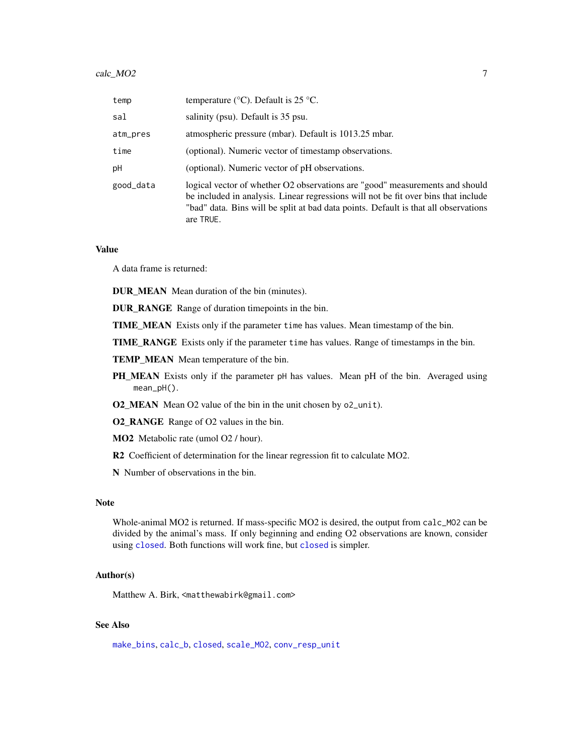<span id="page-6-0"></span>

| temp      | temperature ( $\rm{°C}$ ). Default is 25 $\rm{°C}$ .                                                                                                                                                                                                                   |
|-----------|------------------------------------------------------------------------------------------------------------------------------------------------------------------------------------------------------------------------------------------------------------------------|
| sal       | salinity (psu). Default is 35 psu.                                                                                                                                                                                                                                     |
| atm_pres  | atmospheric pressure (mbar). Default is 1013.25 mbar.                                                                                                                                                                                                                  |
| time      | (optional). Numeric vector of timestamp observations.                                                                                                                                                                                                                  |
| рH        | (optional). Numeric vector of pH observations.                                                                                                                                                                                                                         |
| good_data | logical vector of whether O2 observations are "good" measurements and should<br>be included in analysis. Linear regressions will not be fit over bins that include<br>"bad" data. Bins will be split at bad data points. Default is that all observations<br>are TRUE. |

#### Value

A data frame is returned:

DUR\_MEAN Mean duration of the bin (minutes).

DUR\_RANGE Range of duration timepoints in the bin.

TIME\_MEAN Exists only if the parameter time has values. Mean timestamp of the bin.

TIME\_RANGE Exists only if the parameter time has values. Range of timestamps in the bin.

TEMP\_MEAN Mean temperature of the bin.

PH\_MEAN Exists only if the parameter pH has values. Mean pH of the bin. Averaged using mean\_pH().

O2\_MEAN Mean O2 value of the bin in the unit chosen by o2\_unit).

O2\_RANGE Range of O2 values in the bin.

MO2 Metabolic rate (umol O2 / hour).

R2 Coefficient of determination for the linear regression fit to calculate MO2.

N Number of observations in the bin.

# Note

Whole-animal MO2 is returned. If mass-specific MO2 is desired, the output from calc\_MO2 can be divided by the animal's mass. If only beginning and ending O2 observations are known, consider using [closed](#page-10-1). Both functions will work fine, but closed is simpler.

# Author(s)

Matthew A. Birk, <matthewabirk@gmail.com>

# See Also

[make\\_bins](#page-34-1), [calc\\_b](#page-3-1), [closed](#page-10-1), [scale\\_MO2](#page-49-1), [conv\\_resp\\_unit](#page-18-1)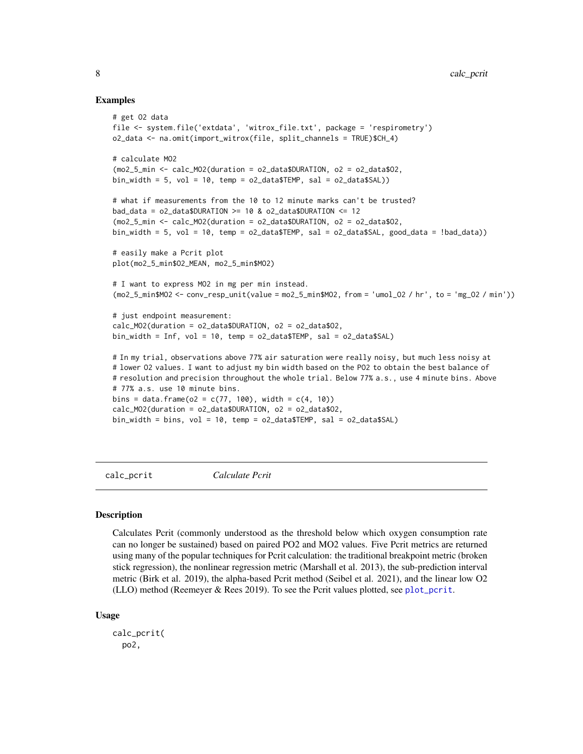#### Examples

```
# get O2 data
file <- system.file('extdata', 'witrox_file.txt', package = 'respirometry')
o2_data <- na.omit(import_witrox(file, split_channels = TRUE)$CH_4)
# calculate MO2
(mo2_5_min < -calCalc_MO2(duration = o2_data$DURATION, o2 = o2_data$O2,
bin_width = 5, vol = 10, temp = o2_data$TEMP, sal = o2_data$SAL))
# what if measurements from the 10 to 12 minute marks can't be trusted?
bad_data = o2_data$DURATION >= 10 & o2_data$DURATION <= 12
(mo2_5_min <- calc_MO2(duration = o2_data$DURATION, o2 = o2_data$O2,
bin_width = 5, vol = 10, temp = o2_data$TEMP, sal = o2_data$SAL, good_data = !bad_data))
# easily make a Pcrit plot
plot(mo2_5_min$O2_MEAN, mo2_5_min$MO2)
# I want to express MO2 in mg per min instead.
(mo2_5_min$MO2 <- conv_resp_unit(value = mo2_5_min$MO2, from = 'umol_O2 / hr', to = 'mg_O2 / min'))
# just endpoint measurement:
calc_MO2(duration = o2_data$DURATION, o2 = o2_data$O2,
bin_width = Inf, vol = 10, temp = o2_data$TEMP, sal = o2_data$SAL)
# In my trial, observations above 77% air saturation were really noisy, but much less noisy at
# lower O2 values. I want to adjust my bin width based on the PO2 to obtain the best balance of
# resolution and precision throughout the whole trial. Below 77% a.s., use 4 minute bins. Above
# 77% a.s. use 10 minute bins.
bins = data.frame(o2 = c(77, 100), width = c(4, 10))
calc_MO2(duration = o2_data$DURATION, o2 = o2_data$O2,
bin_width = bins, vol = 10, temp = o2_data$TEMP, sal = o2_data$SAL)
```
<span id="page-7-1"></span>calc\_pcrit *Calculate Pcrit*

#### **Description**

Calculates Pcrit (commonly understood as the threshold below which oxygen consumption rate can no longer be sustained) based on paired PO2 and MO2 values. Five Pcrit metrics are returned using many of the popular techniques for Pcrit calculation: the traditional breakpoint metric (broken stick regression), the nonlinear regression metric (Marshall et al. 2013), the sub-prediction interval metric (Birk et al. 2019), the alpha-based Pcrit method (Seibel et al. 2021), and the linear low O2 (LLO) method (Reemeyer  $\&$  Rees 2019). To see the Pcrit values plotted, see [plot\\_pcrit](#page-40-1).

#### Usage

```
calc_pcrit(
  po2,
```
<span id="page-7-0"></span>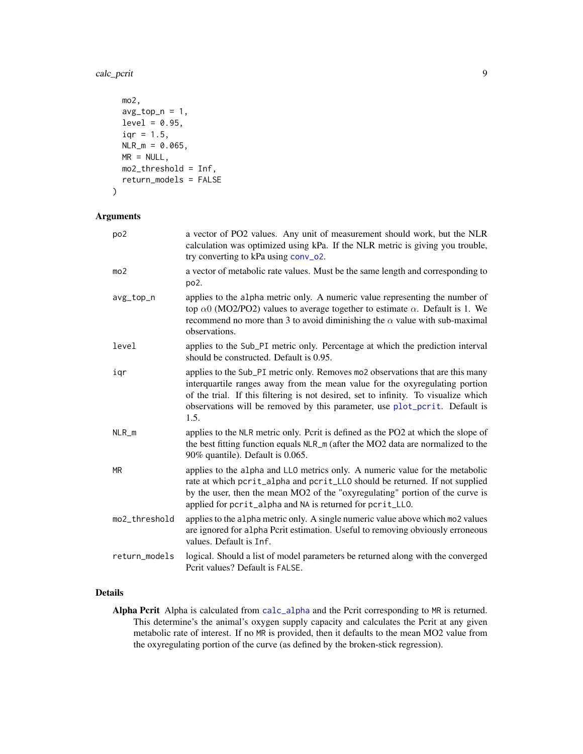<span id="page-8-0"></span>calc\_pcrit 9

```
mo2,
 avg\_top_n = 1,
 level = 0.95,iqr = 1.5,
 NLR_m = 0.065,
 MR = NULL,mo2_threshold = Inf,
 return_models = FALSE
)
```
# Arguments

| po <sub>2</sub> | a vector of PO2 values. Any unit of measurement should work, but the NLR<br>calculation was optimized using kPa. If the NLR metric is giving you trouble,<br>try converting to kPa using conv_o2.                                                                                                                                          |
|-----------------|--------------------------------------------------------------------------------------------------------------------------------------------------------------------------------------------------------------------------------------------------------------------------------------------------------------------------------------------|
| mo <sub>2</sub> | a vector of metabolic rate values. Must be the same length and corresponding to<br>po <sub>2</sub> .                                                                                                                                                                                                                                       |
| avg_top_n       | applies to the alpha metric only. A numeric value representing the number of<br>top $\alpha$ 0 (MO2/PO2) values to average together to estimate $\alpha$ . Default is 1. We<br>recommend no more than 3 to avoid diminishing the $\alpha$ value with sub-maximal<br>observations.                                                          |
| level           | applies to the Sub_PI metric only. Percentage at which the prediction interval<br>should be constructed. Default is 0.95.                                                                                                                                                                                                                  |
| igr             | applies to the Sub_PI metric only. Removes mo2 observations that are this many<br>interquartile ranges away from the mean value for the oxyregulating portion<br>of the trial. If this filtering is not desired, set to infinity. To visualize which<br>observations will be removed by this parameter, use plot_pcrit. Default is<br>1.5. |
| $NLR_m$         | applies to the NLR metric only. Pcrit is defined as the PO2 at which the slope of<br>the best fitting function equals NLR_m (after the MO2 data are normalized to the<br>90% quantile). Default is 0.065.                                                                                                                                  |
| <b>MR</b>       | applies to the alpha and LLO metrics only. A numeric value for the metabolic<br>rate at which pcrit_alpha and pcrit_LLO should be returned. If not supplied<br>by the user, then the mean MO2 of the "oxyregulating" portion of the curve is<br>applied for pcrit_alpha and NA is returned for pcrit_LLO.                                  |
| mo2_threshold   | applies to the alpha metric only. A single numeric value above which mo2 values<br>are ignored for alpha Pcrit estimation. Useful to removing obviously erroneous<br>values. Default is Inf.                                                                                                                                               |
| return_models   | logical. Should a list of model parameters be returned along with the converged<br>Pcrit values? Default is FALSE.                                                                                                                                                                                                                         |

# Details

Alpha Pcrit Alpha is calculated from [calc\\_alpha](#page-1-1) and the Pcrit corresponding to MR is returned. This determine's the animal's oxygen supply capacity and calculates the Pcrit at any given metabolic rate of interest. If no MR is provided, then it defaults to the mean MO2 value from the oxyregulating portion of the curve (as defined by the broken-stick regression).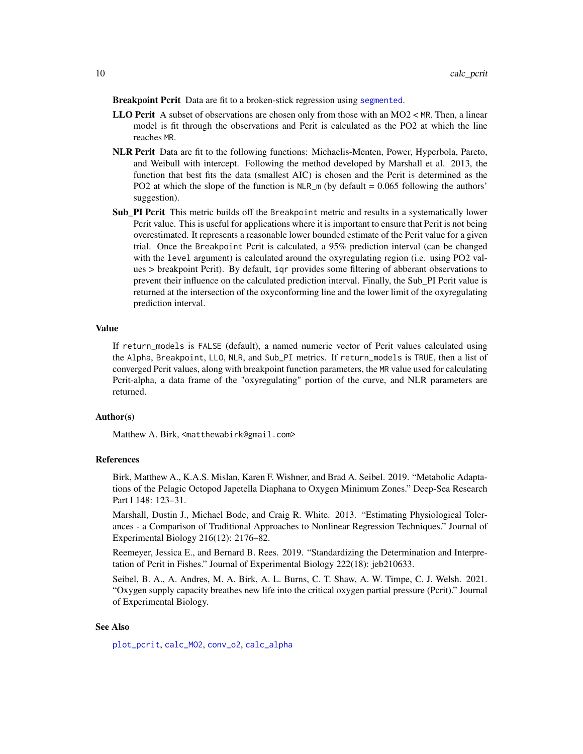<span id="page-9-0"></span>Breakpoint Pcrit Data are fit to a broken-stick regression using [segmented](#page-0-0).

- **LLO Pcrit** A subset of observations are chosen only from those with an MO2  $\lt$  MR. Then, a linear model is fit through the observations and Pcrit is calculated as the PO2 at which the line reaches MR.
- NLR Pcrit Data are fit to the following functions: Michaelis-Menten, Power, Hyperbola, Pareto, and Weibull with intercept. Following the method developed by Marshall et al. 2013, the function that best fits the data (smallest AIC) is chosen and the Pcrit is determined as the PO2 at which the slope of the function is  $NLR_m$  (by default = 0.065 following the authors' suggestion).
- **Sub\_PI Pcrit** This metric builds off the Breakpoint metric and results in a systematically lower Pcrit value. This is useful for applications where it is important to ensure that Pcrit is not being overestimated. It represents a reasonable lower bounded estimate of the Pcrit value for a given trial. Once the Breakpoint Pcrit is calculated, a 95% prediction interval (can be changed with the level argument) is calculated around the oxyregulating region (i.e. using PO2 values > breakpoint Pcrit). By default, iqr provides some filtering of abberant observations to prevent their influence on the calculated prediction interval. Finally, the Sub\_PI Pcrit value is returned at the intersection of the oxyconforming line and the lower limit of the oxyregulating prediction interval.

#### Value

If return\_models is FALSE (default), a named numeric vector of Pcrit values calculated using the Alpha, Breakpoint, LLO, NLR, and Sub\_PI metrics. If return\_models is TRUE, then a list of converged Pcrit values, along with breakpoint function parameters, the MR value used for calculating Pcrit-alpha, a data frame of the "oxyregulating" portion of the curve, and NLR parameters are returned.

#### Author(s)

Matthew A. Birk, <matthewabirk@gmail.com>

#### References

Birk, Matthew A., K.A.S. Mislan, Karen F. Wishner, and Brad A. Seibel. 2019. "Metabolic Adaptations of the Pelagic Octopod Japetella Diaphana to Oxygen Minimum Zones." Deep-Sea Research Part I 148: 123–31.

Marshall, Dustin J., Michael Bode, and Craig R. White. 2013. "Estimating Physiological Tolerances - a Comparison of Traditional Approaches to Nonlinear Regression Techniques." Journal of Experimental Biology 216(12): 2176–82.

Reemeyer, Jessica E., and Bernard B. Rees. 2019. "Standardizing the Determination and Interpretation of Pcrit in Fishes." Journal of Experimental Biology 222(18): jeb210633.

Seibel, B. A., A. Andres, M. A. Birk, A. L. Burns, C. T. Shaw, A. W. Timpe, C. J. Welsh. 2021. "Oxygen supply capacity breathes new life into the critical oxygen partial pressure (Pcrit)." Journal of Experimental Biology.

# See Also

[plot\\_pcrit](#page-40-1), [calc\\_MO2](#page-5-1), [conv\\_o2](#page-16-1), [calc\\_alpha](#page-1-1)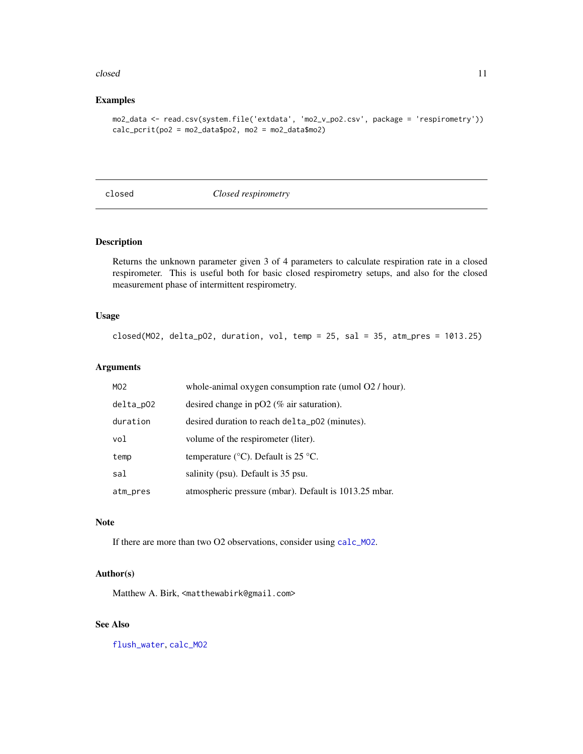#### <span id="page-10-0"></span>closed and the closed of the contract of the closed and the contract of the contract of the contract of the contract of the contract of the contract of the contract of the contract of the contract of the contract of the co

# Examples

```
mo2_data <- read.csv(system.file('extdata', 'mo2_v_po2.csv', package = 'respirometry'))
calc\_print(po2 = mo2_dataspo2, mo2 = mo2_data\
```
<span id="page-10-1"></span>closed *Closed respirometry*

# Description

Returns the unknown parameter given 3 of 4 parameters to calculate respiration rate in a closed respirometer. This is useful both for basic closed respirometry setups, and also for the closed measurement phase of intermittent respirometry.

#### Usage

```
closed(MO2, delta_pO2, duration, vol, temp = 25, sal = 35, atm_pres = 1013.25)
```
# Arguments

| MO <sub>2</sub> | whole-animal oxygen consumption rate (umol O2 / hour). |
|-----------------|--------------------------------------------------------|
| delta_p02       | desired change in $pO2$ (% air saturation).            |
| duration        | desired duration to reach delta_p02 (minutes).         |
| vol             | volume of the respirometer (liter).                    |
| temp            | temperature ( $\rm{°C}$ ). Default is 25 $\rm{°C}$ .   |
| sal             | salinity (psu). Default is 35 psu.                     |
| atm_pres        | atmospheric pressure (mbar). Default is 1013.25 mbar.  |

#### Note

If there are more than two O2 observations, consider using [calc\\_MO2](#page-5-1).

# Author(s)

Matthew A. Birk, <matthewabirk@gmail.com>

# See Also

[flush\\_water](#page-23-1), [calc\\_MO2](#page-5-1)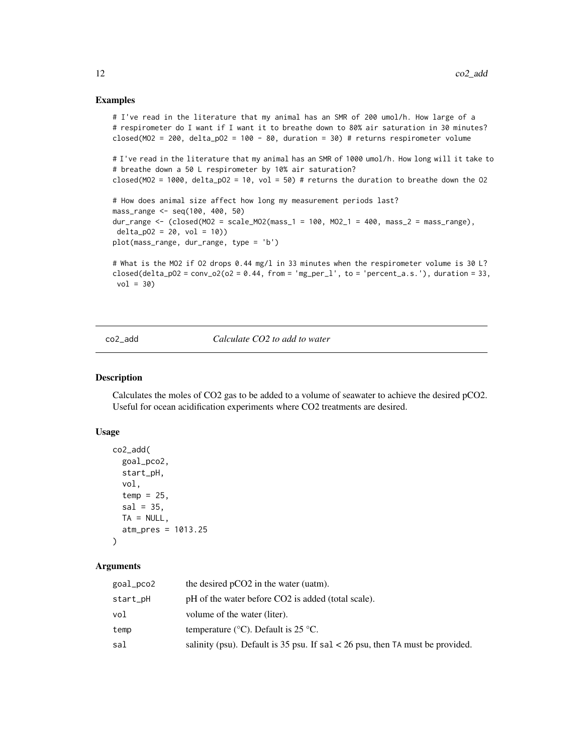#### Examples

```
# I've read in the literature that my animal has an SMR of 200 umol/h. How large of a
# respirometer do I want if I want it to breathe down to 80% air saturation in 30 minutes?
closed(MO2 = 200, delta_pO2 = 100 - 80, duration = 30) # returns respirometer volume
# I've read in the literature that my animal has an SMR of 1000 umol/h. How long will it take to
# breathe down a 50 L respirometer by 10% air saturation?
closed(MO2 = 1000, delta_pO2 = 10, vol = 50) # returns the duration to breathe down the O2
# How does animal size affect how long my measurement periods last?
mass_range <- seq(100, 400, 50)
dur_range <- (closed(MO2 = scale_MO2(mass_1 = 100, MO2_1 = 400, mass_2 = mass_range),
delta_p02 = 20, vol = 10)plot(mass_range, dur_range, type = 'b')
# What is the MO2 if O2 drops 0.44 mg/l in 33 minutes when the respirometer volume is 30 L?
closed(delta_pO2 = conv_o2(o2 = 0.44, from = 'mg_per_l', to = 'percent_a.s.'), duration = 33,
vol = 30
```
<span id="page-11-1"></span>co2\_add *Calculate CO2 to add to water*

# Description

Calculates the moles of CO2 gas to be added to a volume of seawater to achieve the desired pCO2. Useful for ocean acidification experiments where CO2 treatments are desired.

#### Usage

```
co2_add(
  goal_pco2,
  start_pH,
  vol,
  temp = 25,
  sal = 35,TA = NULL,atm_pres = 1013.25
\lambda
```

| goal_pco2 | the desired pCO2 in the water (uatm).                                           |
|-----------|---------------------------------------------------------------------------------|
| start_pH  | pH of the water before CO2 is added (total scale).                              |
| vol       | volume of the water (liter).                                                    |
| temp      | temperature ( $\rm{^{\circ}C}$ ). Default is 25 $\rm{^{\circ}C}$ .              |
| sal       | salinity (psu). Default is 35 psu. If $sal < 26$ psu, then TA must be provided. |

<span id="page-11-0"></span>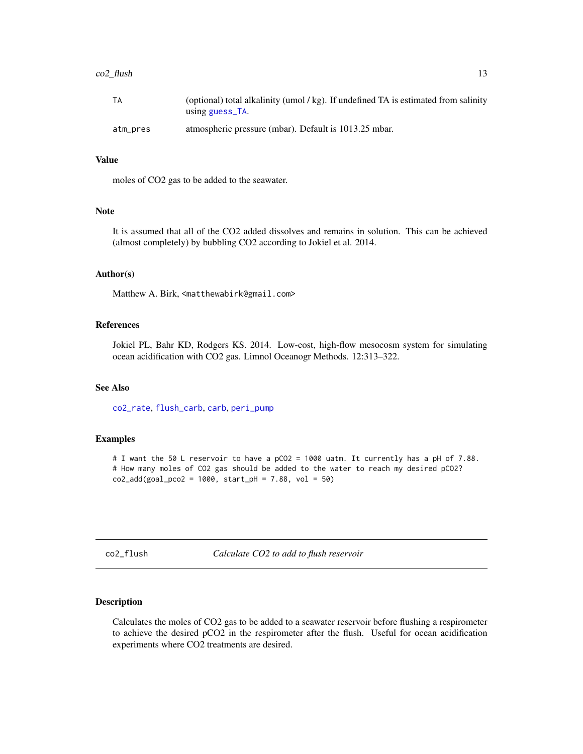#### <span id="page-12-0"></span> $\text{co2}_\text{H}$ ush 13

| ТA       | (optional) total alkalinity (umol $\ell$ kg). If undefined TA is estimated from salinity<br>using guess_TA. |
|----------|-------------------------------------------------------------------------------------------------------------|
| atm_pres | atmospheric pressure (mbar). Default is 1013.25 mbar.                                                       |

#### Value

moles of CO2 gas to be added to the seawater.

#### **Note**

It is assumed that all of the CO2 added dissolves and remains in solution. This can be achieved (almost completely) by bubbling CO2 according to Jokiel et al. 2014.

#### Author(s)

Matthew A. Birk, <matthewabirk@gmail.com>

# References

Jokiel PL, Bahr KD, Rodgers KS. 2014. Low-cost, high-flow mesocosm system for simulating ocean acidification with CO2 gas. Limnol Oceanogr Methods. 12:313–322.

# See Also

[co2\\_rate](#page-14-1), [flush\\_carb](#page-20-1), [carb](#page-0-0), [peri\\_pump](#page-39-1)

# Examples

# I want the 50 L reservoir to have a pCO2 = 1000 uatm. It currently has a pH of 7.88. # How many moles of CO2 gas should be added to the water to reach my desired pCO2?  $co2\_add(goa1\_pco2 = 1000, start\_pH = 7.88, vol = 50)$ 

co2\_flush *Calculate CO2 to add to flush reservoir*

# Description

Calculates the moles of CO2 gas to be added to a seawater reservoir before flushing a respirometer to achieve the desired pCO2 in the respirometer after the flush. Useful for ocean acidification experiments where CO2 treatments are desired.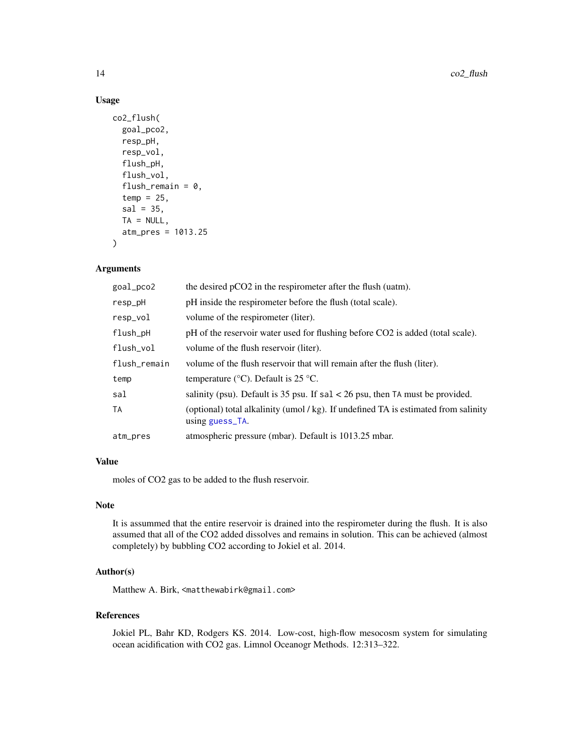# Usage

```
co2_flush(
  goal_pco2,
  resp_pH,
  resp_vol,
  flush_pH,
  flush_vol,
  flush_remain = 0,
  temp = 25,
  sal = 35,TA = NULL,atm_pres = 1013.25
)
```
# Arguments

| goal_pco2    | the desired pCO2 in the respirometer after the flush (uatm).                                           |
|--------------|--------------------------------------------------------------------------------------------------------|
| resp_pH      | pH inside the respirometer before the flush (total scale).                                             |
| resp_vol     | volume of the respirometer (liter).                                                                    |
| flush_pH     | pH of the reservoir water used for flushing before CO2 is added (total scale).                         |
| flush_vol    | volume of the flush reservoir (liter).                                                                 |
| flush_remain | volume of the flush reservoir that will remain after the flush (liter).                                |
| temp         | temperature ( $\rm{^{\circ}C}$ ). Default is 25 $\rm{^{\circ}C}$ .                                     |
| sal          | salinity (psu). Default is 35 psu. If $sal < 26$ psu, then TA must be provided.                        |
| TA           | (optional) total alkalinity (umol / kg). If undefined TA is estimated from salinity<br>using guess_TA. |
| atm_pres     | atmospheric pressure (mbar). Default is 1013.25 mbar.                                                  |

# Value

moles of CO2 gas to be added to the flush reservoir.

#### Note

It is assummed that the entire reservoir is drained into the respirometer during the flush. It is also assumed that all of the CO2 added dissolves and remains in solution. This can be achieved (almost completely) by bubbling CO2 according to Jokiel et al. 2014.

# Author(s)

Matthew A. Birk, <matthewabirk@gmail.com>

#### References

Jokiel PL, Bahr KD, Rodgers KS. 2014. Low-cost, high-flow mesocosm system for simulating ocean acidification with CO2 gas. Limnol Oceanogr Methods. 12:313–322.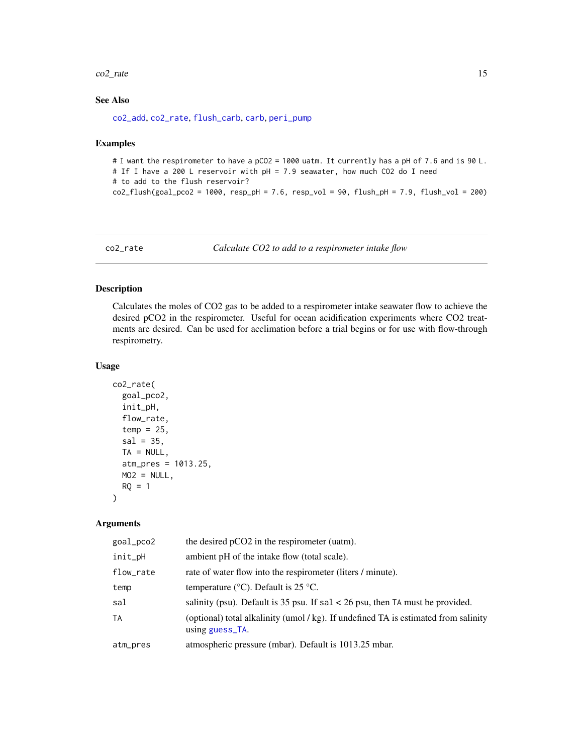#### <span id="page-14-0"></span> $\text{co2}_\text{rate}$  (15

# See Also

[co2\\_add](#page-11-1), [co2\\_rate](#page-14-1), [flush\\_carb](#page-20-1), [carb](#page-0-0), [peri\\_pump](#page-39-1)

#### Examples

```
# I want the respirometer to have a pCO2 = 1000 uatm. It currently has a pH of 7.6 and is 90 L.
# If I have a 200 L reservoir with pH = 7.9 seawater, how much CO2 do I need
# to add to the flush reservoir?
co2-flush(goa1_pco2 = 1000, resp_pH = 7.6, resp_vol = 90, flush_pH = 7.9, flush_vol = 200)
```
<span id="page-14-1"></span>co2\_rate *Calculate CO2 to add to a respirometer intake flow*

# Description

Calculates the moles of CO2 gas to be added to a respirometer intake seawater flow to achieve the desired pCO2 in the respirometer. Useful for ocean acidification experiments where CO2 treatments are desired. Can be used for acclimation before a trial begins or for use with flow-through respirometry.

# Usage

```
co2_rate(
  goal_pco2,
  init_pH,
  flow_rate,
  temp = 25,
  sal = 35,TA = NULL,atm_pres = 1013.25,
  MO2 = NULL,RQ = 1)
```

| goal_pco2 | the desired pCO2 in the respirometer (uatm).                                                             |
|-----------|----------------------------------------------------------------------------------------------------------|
| init_pH   | ambient pH of the intake flow (total scale).                                                             |
| flow_rate | rate of water flow into the respirometer (liters / minute).                                              |
| temp      | temperature ( $\degree$ C). Default is 25 $\degree$ C.                                                   |
| sal       | salinity (psu). Default is 35 psu. If $sal < 26$ psu, then TA must be provided.                          |
| TA        | (optional) total alkalinity (umol / kg). If undefined TA is estimated from salinity<br>using $guess$ TA. |
| atm_pres  | atmospheric pressure (mbar). Default is 1013.25 mbar.                                                    |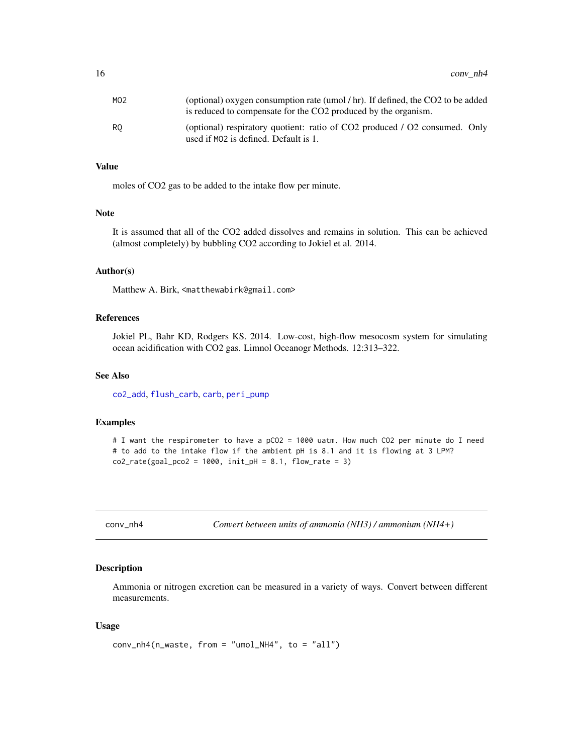<span id="page-15-0"></span>

| MO2 | (optional) oxygen consumption rate (umol / hr). If defined, the CO2 to be added<br>is reduced to compensate for the CO2 produced by the organism. |
|-----|---------------------------------------------------------------------------------------------------------------------------------------------------|
| RO  | (optional) respiratory quotient: ratio of CO2 produced / O2 consumed. Only<br>used if MO2 is defined. Default is 1.                               |

# Value

moles of CO2 gas to be added to the intake flow per minute.

#### Note

It is assumed that all of the CO2 added dissolves and remains in solution. This can be achieved (almost completely) by bubbling CO2 according to Jokiel et al. 2014.

#### Author(s)

Matthew A. Birk, <matthewabirk@gmail.com>

# References

Jokiel PL, Bahr KD, Rodgers KS. 2014. Low-cost, high-flow mesocosm system for simulating ocean acidification with CO2 gas. Limnol Oceanogr Methods. 12:313–322.

# See Also

[co2\\_add](#page-11-1), [flush\\_carb](#page-20-1), [carb](#page-0-0), [peri\\_pump](#page-39-1)

# Examples

```
# I want the respirometer to have a pCO2 = 1000 uatm. How much CO2 per minute do I need
# to add to the intake flow if the ambient pH is 8.1 and it is flowing at 3 LPM?
co2_rate(goa1_pco2 = 1000, init_pH = 8.1, flow_rate = 3)
```
<span id="page-15-1"></span>conv\_nh4 *Convert between units of ammonia (NH3) / ammonium (NH4+)*

#### Description

Ammonia or nitrogen excretion can be measured in a variety of ways. Convert between different measurements.

#### Usage

```
conv_nh4(n_waste, from = "umol_NH4", to = "all")
```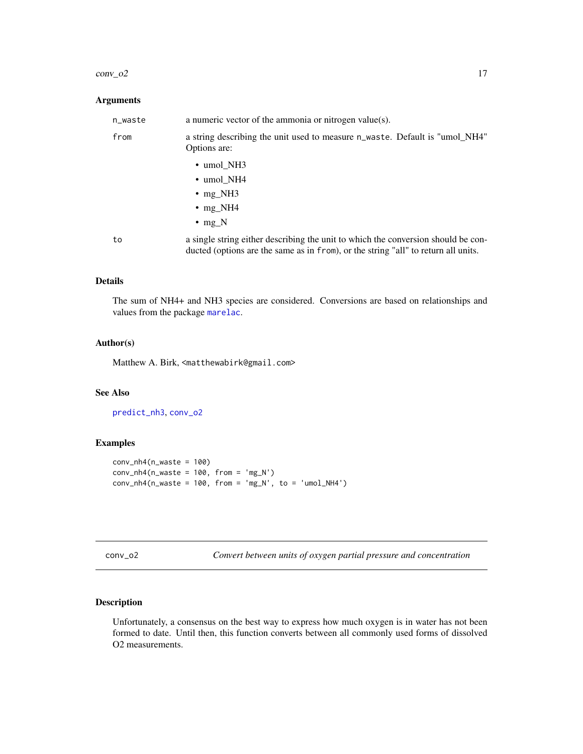#### <span id="page-16-0"></span> $conv_02$  17

# Arguments

| n_waste | a numeric vector of the ammonia or nitrogen value $(s)$ .                                                                                                               |
|---------|-------------------------------------------------------------------------------------------------------------------------------------------------------------------------|
| from    | a string describing the unit used to measure n_waste. Default is "umol_NH4"<br>Options are:                                                                             |
|         | $\cdot$ umol_NH3                                                                                                                                                        |
|         | $\cdot$ umol_NH4                                                                                                                                                        |
|         | $\cdot$ mg_NH3                                                                                                                                                          |
|         | • $mg_NH4$                                                                                                                                                              |
|         | $\cdot$ mg N                                                                                                                                                            |
| to      | a single string either describing the unit to which the conversion should be con-<br>ducted (options are the same as in from), or the string "all" to return all units. |

#### Details

The sum of NH4+ and NH3 species are considered. Conversions are based on relationships and values from the package [marelac](#page-0-0).

# Author(s)

Matthew A. Birk, <matthewabirk@gmail.com>

# See Also

[predict\\_nh3](#page-43-1), [conv\\_o2](#page-16-1)

# Examples

```
conv_{nh4}(n_waste = 100)conv_{nh4}(n_{waste} = 100, from = 'mg_{N'})conv_{n}h4(n_{waste} = 100, from = 'mg_{N}, to = 'umol_{N}H4')
```
<span id="page-16-1"></span>

| conv |  |
|------|--|
|------|--|

Convert between units of oxygen partial pressure and concentration

# Description

Unfortunately, a consensus on the best way to express how much oxygen is in water has not been formed to date. Until then, this function converts between all commonly used forms of dissolved O2 measurements.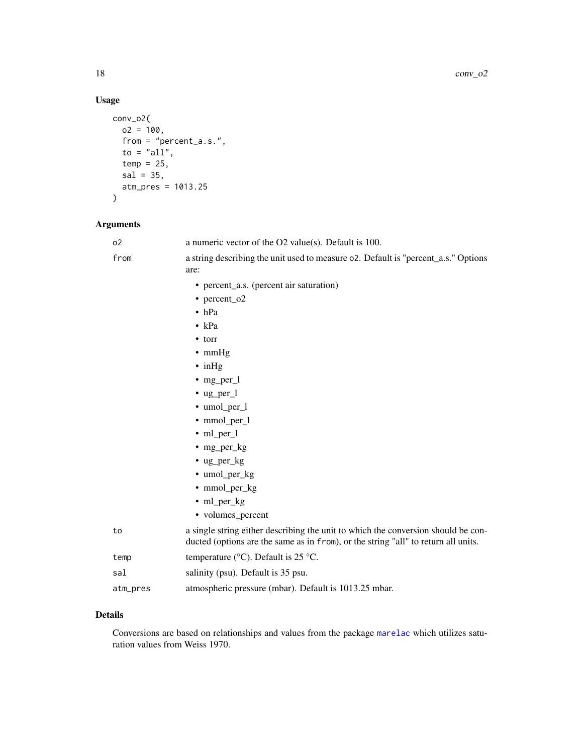# Usage

```
conv_o2(
  o2 = 100,from = "percent_a.s.",
  to = "all",
  temp = 25,sal = 35,atm_pres = 1013.25
\mathcal{L}
```
# Arguments

| o <sub>2</sub> | a numeric vector of the O2 value(s). Default is 100.                                                                                                                    |
|----------------|-------------------------------------------------------------------------------------------------------------------------------------------------------------------------|
| from           | a string describing the unit used to measure 02. Default is "percent_a.s." Options<br>are:                                                                              |
|                | • percent_a.s. (percent air saturation)                                                                                                                                 |
|                | • percent_o2                                                                                                                                                            |
|                | $\bullet$ hPa                                                                                                                                                           |
|                | $\bullet$ kPa                                                                                                                                                           |
|                | $\bullet$ torr                                                                                                                                                          |
|                | $\bullet$ mmHg                                                                                                                                                          |
|                | $\cdot$ in Hg                                                                                                                                                           |
|                | $\bullet$ mg_per_l                                                                                                                                                      |
|                | $\cdot$ ug_per_l                                                                                                                                                        |
|                | • umol_per_l                                                                                                                                                            |
|                | • mmol_per_l                                                                                                                                                            |
|                | $\cdot$ ml_per_l                                                                                                                                                        |
|                | $\cdot$ mg_per_kg                                                                                                                                                       |
|                | $\cdot$ ug_per_kg                                                                                                                                                       |
|                | • umol_per_kg                                                                                                                                                           |
|                | • mmol_per_kg                                                                                                                                                           |
|                | $\cdot$ ml_per_kg                                                                                                                                                       |
|                | • volumes_percent                                                                                                                                                       |
| to             | a single string either describing the unit to which the conversion should be con-<br>ducted (options are the same as in from), or the string "all" to return all units. |
| temp           | temperature ( $\rm{°C}$ ). Default is 25 $\rm{°C}$ .                                                                                                                    |
| sal            | salinity (psu). Default is 35 psu.                                                                                                                                      |
| atm_pres       | atmospheric pressure (mbar). Default is 1013.25 mbar.                                                                                                                   |

# Details

Conversions are based on relationships and values from the package [marelac](#page-0-0) which utilizes saturation values from Weiss 1970.

<span id="page-17-0"></span>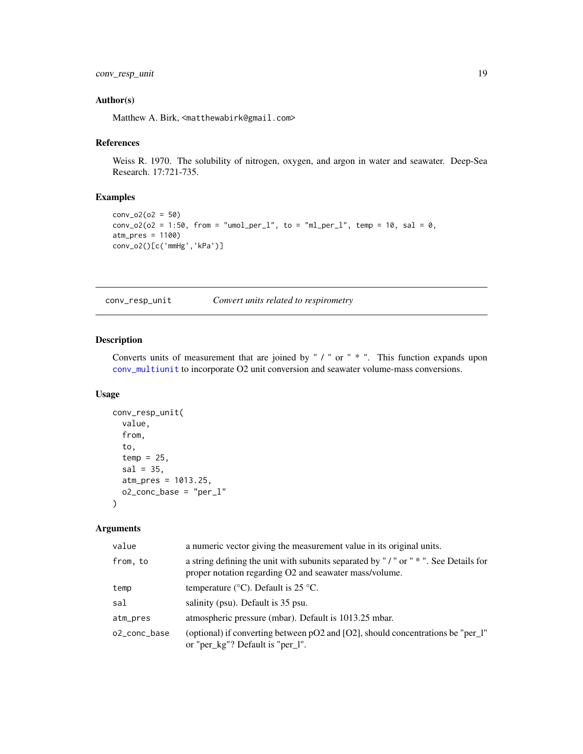#### <span id="page-18-0"></span>Author(s)

Matthew A. Birk, <matthewabirk@gmail.com>

#### References

Weiss R. 1970. The solubility of nitrogen, oxygen, and argon in water and seawater. Deep-Sea Research. 17:721-735.

# Examples

```
conv_02(o2 = 50)
conv_02(o2 = 1:50, from = "umol_per_l", to = "ml_per_l", temp = 10, sal = 0,
atm_pres = 1100)
conv_o2()[c('mmHg','kPa')]
```
<span id="page-18-1"></span>conv\_resp\_unit *Convert units related to respirometry*

# Description

Converts units of measurement that are joined by " / " or " \* ". This function expands upon [conv\\_multiunit](#page-0-0) to incorporate O2 unit conversion and seawater volume-mass conversions.

#### Usage

```
conv_resp_unit(
  value,
  from,
  to,
  temp = 25,
  sal = 35,atm_pres = 1013.25,
 o2_conc_base = "per_l"
)
```

| value        | a numeric vector giving the measurement value in its original units.                                                                         |
|--------------|----------------------------------------------------------------------------------------------------------------------------------------------|
| from, to     | a string defining the unit with subunits separated by "/" or " *". See Details for<br>proper notation regarding O2 and seawater mass/volume. |
| temp         | temperature ( $\rm{°C}$ ). Default is 25 $\rm{°C}$ .                                                                                         |
| sal          | salinity (psu). Default is 35 psu.                                                                                                           |
| atm_pres     | atmospheric pressure (mbar). Default is 1013.25 mbar.                                                                                        |
| o2 conc base | (optional) if converting between pO2 and [O2], should concentrations be "per_l"<br>or "per_kg"? Default is "per_l".                          |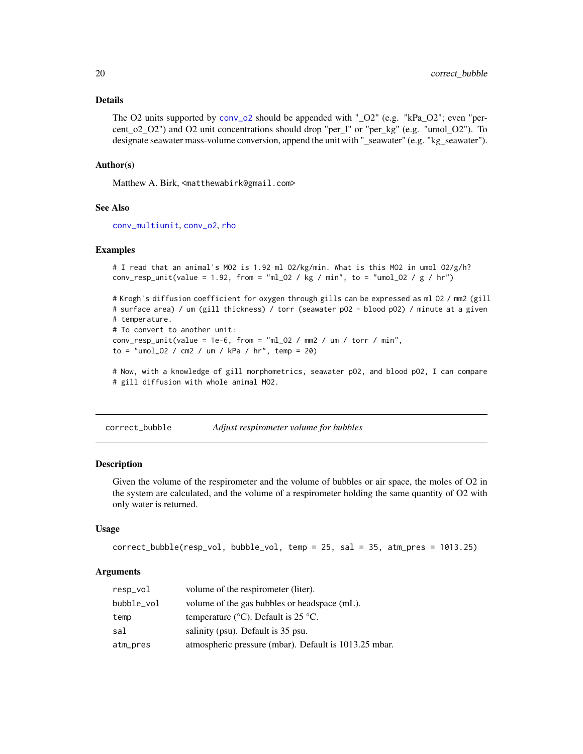#### <span id="page-19-0"></span>Details

The O2 units supported by [conv\\_o2](#page-16-1) should be appended with " $O2$ " (e.g. "kPa $O2$ "; even "percent\_o2\_O2") and O2 unit concentrations should drop "per\_l" or "per\_kg" (e.g. "umol\_O2"). To designate seawater mass-volume conversion, append the unit with "\_seawater" (e.g. "kg\_seawater").

#### Author(s)

Matthew A. Birk, <matthewabirk@gmail.com>

#### See Also

[conv\\_multiunit](#page-0-0), [conv\\_o2](#page-16-1), [rho](#page-0-0)

#### Examples

```
# I read that an animal's MO2 is 1.92 ml O2/kg/min. What is this MO2 in umol O2/g/h?
conv_resp_unit(value = 1.92, from = "ml_O2 / kg / min", to = "umol_O2 / g / hr")
```
# Krogh's diffusion coefficient for oxygen through gills can be expressed as ml O2 / mm2 (gill # surface area) / um (gill thickness) / torr (seawater pO2 - blood pO2) / minute at a given # temperature. # To convert to another unit:  $conv\_resp\_unit(value = 1e-6, from = "ml_02 / mm2 / um / torr / min",$ to = "umol\_O2 / cm2 / um / kPa / hr", temp = 20)

# Now, with a knowledge of gill morphometrics, seawater pO2, and blood pO2, I can compare # gill diffusion with whole animal MO2.

correct\_bubble *Adjust respirometer volume for bubbles*

#### Description

Given the volume of the respirometer and the volume of bubbles or air space, the moles of O2 in the system are calculated, and the volume of a respirometer holding the same quantity of O2 with only water is returned.

#### Usage

```
correct_bubble(resp_vol, bubble_vol, temp = 25, sal = 35, atm_pres = 1013.25)
```

| resp_vol   | volume of the respirometer (liter).                                |
|------------|--------------------------------------------------------------------|
| bubble_vol | volume of the gas bubbles or headspace (mL).                       |
| temp       | temperature ( $\rm{^{\circ}C}$ ). Default is 25 $\rm{^{\circ}C}$ . |
| sal        | salinity (psu). Default is 35 psu.                                 |
| atm_pres   | atmospheric pressure (mbar). Default is 1013.25 mbar.              |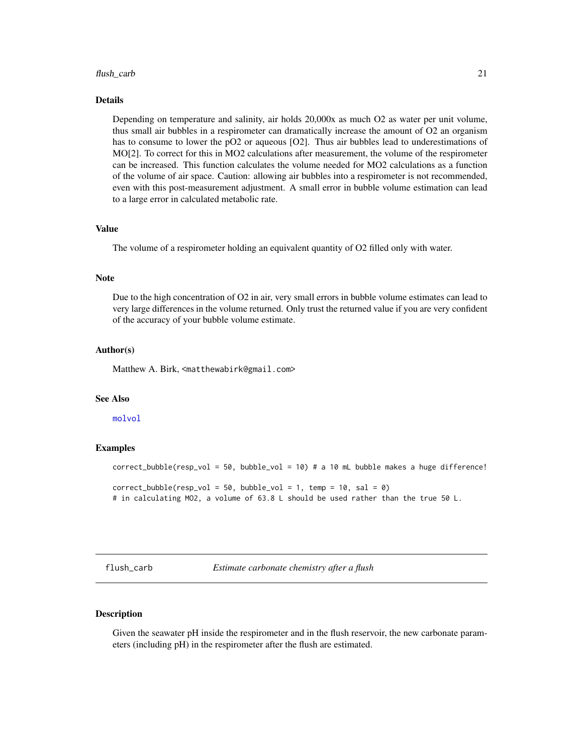#### <span id="page-20-0"></span>flush\_carb 21

#### Details

Depending on temperature and salinity, air holds 20,000x as much O2 as water per unit volume, thus small air bubbles in a respirometer can dramatically increase the amount of O2 an organism has to consume to lower the pO2 or aqueous [O2]. Thus air bubbles lead to underestimations of MO[2]. To correct for this in MO2 calculations after measurement, the volume of the respirometer can be increased. This function calculates the volume needed for MO2 calculations as a function of the volume of air space. Caution: allowing air bubbles into a respirometer is not recommended, even with this post-measurement adjustment. A small error in bubble volume estimation can lead to a large error in calculated metabolic rate.

#### Value

The volume of a respirometer holding an equivalent quantity of O2 filled only with water.

#### Note

Due to the high concentration of O2 in air, very small errors in bubble volume estimates can lead to very large differences in the volume returned. Only trust the returned value if you are very confident of the accuracy of your bubble volume estimate.

#### Author(s)

Matthew A. Birk, <matthewabirk@gmail.com>

#### See Also

[molvol](#page-0-0)

#### Examples

```
correct_bubble(resp_vol = 50, bubble_vol = 10) # a 10 mL bubble makes a huge difference!
correct_bubble(resp\_vol = 50, bubble\_vol = 1, temp = 10, sal = 0)# in calculating MO2, a volume of 63.8 L should be used rather than the true 50 L.
```
<span id="page-20-1"></span>flush\_carb *Estimate carbonate chemistry after a flush*

# **Description**

Given the seawater pH inside the respirometer and in the flush reservoir, the new carbonate parameters (including pH) in the respirometer after the flush are estimated.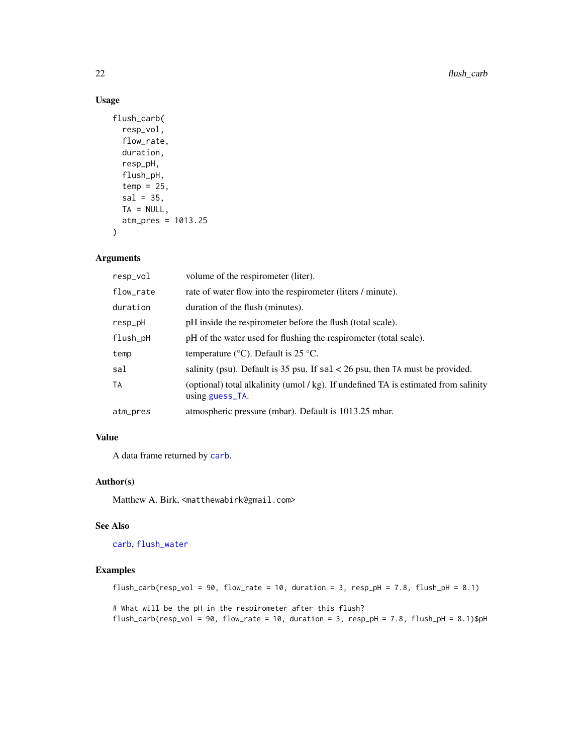# Usage

```
flush_carb(
  resp_vol,
  flow_rate,
  duration,
  resp_pH,
  flush_pH,
  temp = 25,
  sal = 35,
 TA = NULL,atm_pres = 1013.25
)
```
#### Arguments

| resp_vol  | volume of the respirometer (liter).                                                                    |
|-----------|--------------------------------------------------------------------------------------------------------|
| flow_rate | rate of water flow into the respirometer (liters / minute).                                            |
| duration  | duration of the flush (minutes).                                                                       |
| resp_pH   | pH inside the respirometer before the flush (total scale).                                             |
| flush_pH  | pH of the water used for flushing the respirometer (total scale).                                      |
| temp      | temperature ( $\degree$ C). Default is 25 $\degree$ C.                                                 |
| sal       | salinity (psu). Default is 35 psu. If $sal < 26$ psu, then TA must be provided.                        |
| <b>TA</b> | (optional) total alkalinity (umol / kg). If undefined TA is estimated from salinity<br>using guess_TA. |
| atm_pres  | atmospheric pressure (mbar). Default is 1013.25 mbar.                                                  |

# Value

A data frame returned by [carb](#page-0-0).

# Author(s)

Matthew A. Birk, <matthewabirk@gmail.com>

# See Also

[carb](#page-0-0), [flush\\_water](#page-23-1)

# Examples

```
flush_carb(resp_vol = 90, flow_rate = 10, duration = 3, resp_pH = 7.8, flush_pH = 8.1)
# What will be the pH in the respirometer after this flush?
flush_carb(resp_vol = 90, flow_rate = 10, duration = 3, resp_pH = 7.8, flush_pH = 8.1)$pH
```
<span id="page-21-0"></span>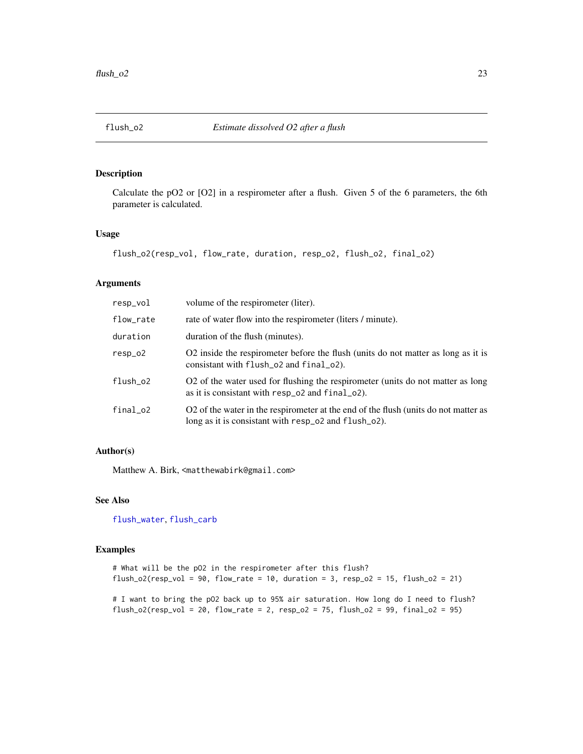<span id="page-22-0"></span>

# Description

Calculate the pO2 or [O2] in a respirometer after a flush. Given 5 of the 6 parameters, the 6th parameter is calculated.

#### Usage

```
flush_o2(resp_vol, flow_rate, duration, resp_o2, flush_o2, final_o2)
```
#### Arguments

| resp_vol  | volume of the respirometer (liter).                                                                                                         |
|-----------|---------------------------------------------------------------------------------------------------------------------------------------------|
| flow_rate | rate of water flow into the respirometer (liters / minute).                                                                                 |
| duration  | duration of the flush (minutes).                                                                                                            |
| $resp_02$ | O2 inside the respirometer before the flush (units do not matter as long as it is<br>consistant with flush_o2 and final_o2).                |
| flush_o2  | O2 of the water used for flushing the respirometer (units do not matter as long<br>as it is consistant with resp_o2 and final_o2).          |
| final_o2  | O2 of the water in the respirometer at the end of the flush (units do not matter as<br>long as it is consistant with resp_o2 and flush_o2). |

# Author(s)

Matthew A. Birk, <matthewabirk@gmail.com>

#### See Also

[flush\\_water](#page-23-1), [flush\\_carb](#page-20-1)

# Examples

# What will be the pO2 in the respirometer after this flush?  $flush_02(resp_vol = 90$ ,  $flow_rate = 10$ , duration = 3,  $resp_02 = 15$ ,  $flush_02 = 21)$ 

# I want to bring the pO2 back up to 95% air saturation. How long do I need to flush? flush\_o2(resp\_vol = 20, flow\_rate = 2, resp\_o2 = 75, flush\_o2 = 99, final\_o2 = 95)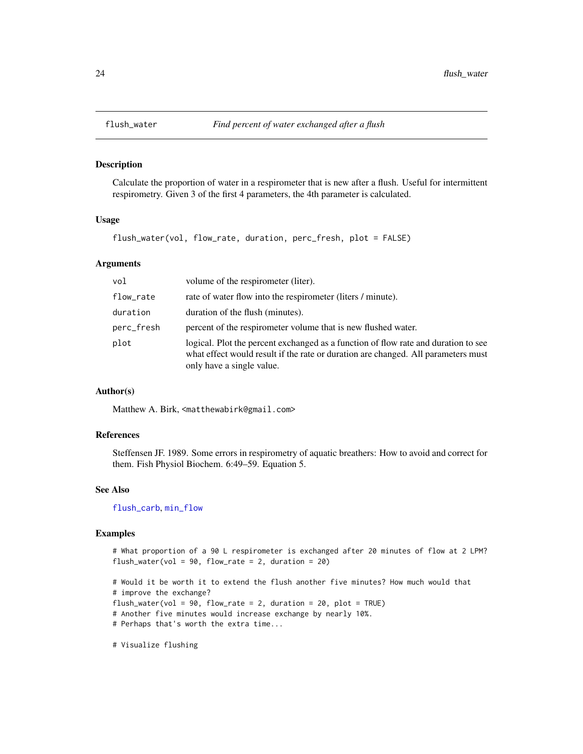<span id="page-23-1"></span><span id="page-23-0"></span>

#### Description

Calculate the proportion of water in a respirometer that is new after a flush. Useful for intermittent respirometry. Given 3 of the first 4 parameters, the 4th parameter is calculated.

# Usage

flush\_water(vol, flow\_rate, duration, perc\_fresh, plot = FALSE)

#### Arguments

| vol        | volume of the respirometer (liter).                                                                                                                                                                  |
|------------|------------------------------------------------------------------------------------------------------------------------------------------------------------------------------------------------------|
| flow_rate  | rate of water flow into the respirometer (liters / minute).                                                                                                                                          |
| duration   | duration of the flush (minutes).                                                                                                                                                                     |
| perc_fresh | percent of the respirometer volume that is new flushed water.                                                                                                                                        |
| plot       | logical. Plot the percent exchanged as a function of flow rate and duration to see<br>what effect would result if the rate or duration are changed. All parameters must<br>only have a single value. |

#### Author(s)

Matthew A. Birk, <matthewabirk@gmail.com>

# References

Steffensen JF. 1989. Some errors in respirometry of aquatic breathers: How to avoid and correct for them. Fish Physiol Biochem. 6:49–59. Equation 5.

#### See Also

[flush\\_carb](#page-20-1), [min\\_flow](#page-38-1)

# Examples

```
# What proportion of a 90 L respirometer is exchanged after 20 minutes of flow at 2 LPM?
flush_water(vol = 90, flow_rate = 2, duration = 20)
# Would it be worth it to extend the flush another five minutes? How much would that
```

```
# improve the exchange?
flush_water(vol = 90, flow_rate = 2, duration = 20, plot = TRUE)
# Another five minutes would increase exchange by nearly 10%.
# Perhaps that's worth the extra time...
```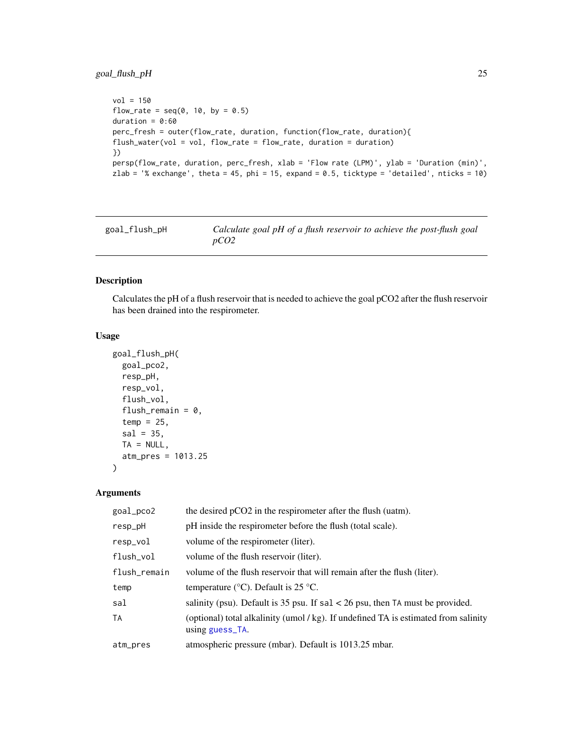# <span id="page-24-0"></span>goal\_flush\_pH 25

```
vol = 150flow_rate = seq(0, 10, by = 0.5)duration = 0:60perc_fresh = outer(flow_rate, duration, function(flow_rate, duration){
flush_water(vol = vol, flow_rate = flow_rate, duration = duration)
})
persp(flow_rate, duration, perc_fresh, xlab = 'Flow rate (LPM)', ylab = 'Duration (min)',
zlab = '% exchange', theta = 45, phi = 15, expand = 0.5, ticktype = 'detailed', nticks = 10)
```
goal\_flush\_pH *Calculate goal pH of a flush reservoir to achieve the post-flush goal pCO2*

#### Description

Calculates the pH of a flush reservoir that is needed to achieve the goal pCO2 after the flush reservoir has been drained into the respirometer.

#### Usage

```
goal_flush_pH(
  goal_pco2,
  resp_pH,
  resp_vol,
  flush_vol,
  flush_remain = 0,
  temp = 25,
  sal = 35,TA = NULL,atm_pres = 1013.25
)
```

| goal_pco2    | the desired pCO2 in the respirometer after the flush (uatm).                                           |
|--------------|--------------------------------------------------------------------------------------------------------|
| resp_pH      | pH inside the respirometer before the flush (total scale).                                             |
| resp_vol     | volume of the respirometer (liter).                                                                    |
| flush_vol    | volume of the flush reservoir (liter).                                                                 |
| flush_remain | volume of the flush reservoir that will remain after the flush (liter).                                |
| temp         | temperature ( $\rm{°C}$ ). Default is 25 $\rm{°C}$ .                                                   |
| sal          | salinity (psu). Default is 35 psu. If $sal < 26$ psu, then TA must be provided.                        |
| TA           | (optional) total alkalinity (umol / kg). If undefined TA is estimated from salinity<br>using guess_TA. |
| atm_pres     | atmospheric pressure (mbar). Default is 1013.25 mbar.                                                  |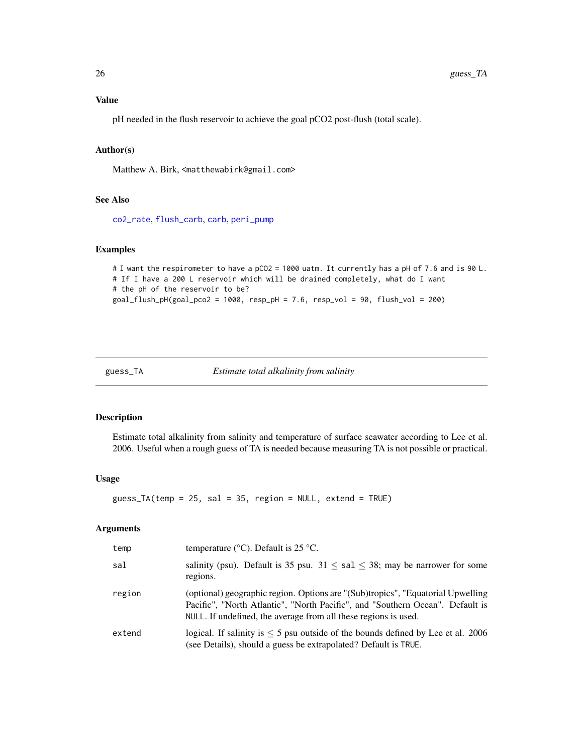# <span id="page-25-0"></span>Value

pH needed in the flush reservoir to achieve the goal pCO2 post-flush (total scale).

# Author(s)

Matthew A. Birk, <matthewabirk@gmail.com>

# See Also

[co2\\_rate](#page-14-1), [flush\\_carb](#page-20-1), [carb](#page-0-0), [peri\\_pump](#page-39-1)

# Examples

```
# I want the respirometer to have a pCO2 = 1000 uatm. It currently has a pH of 7.6 and is 90 L.
# If I have a 200 L reservoir which will be drained completely, what do I want
# the pH of the reservoir to be?
goal_flush_pH(goal_pco2 = 1000, resp_pH = 7.6, resp_vol = 90, flush_vol = 200)
```
<span id="page-25-1"></span>

```
guess_TA Estimate total alkalinity from salinity
```
#### Description

Estimate total alkalinity from salinity and temperature of surface seawater according to Lee et al. 2006. Useful when a rough guess of TA is needed because measuring TA is not possible or practical.

#### Usage

guess\_TA(temp = 25, sal = 35, region = NULL, extend = TRUE)

| temp   | temperature ( $\rm{^{\circ}C}$ ). Default is 25 $\rm{^{\circ}C}$ .                                                                                                                                                                  |
|--------|-------------------------------------------------------------------------------------------------------------------------------------------------------------------------------------------------------------------------------------|
| sal    | salinity (psu). Default is 35 psu. $31 \leq$ sal $\leq$ 38; may be narrower for some<br>regions.                                                                                                                                    |
| region | (optional) geographic region. Options are "(Sub)tropics", "Equatorial Upwelling<br>Pacific", "North Atlantic", "North Pacific", and "Southern Ocean". Default is<br>NULL. If undefined, the average from all these regions is used. |
| extend | logical. If salinity is $\leq$ 5 psu outside of the bounds defined by Lee et al. 2006<br>(see Details), should a guess be extrapolated? Default is TRUE.                                                                            |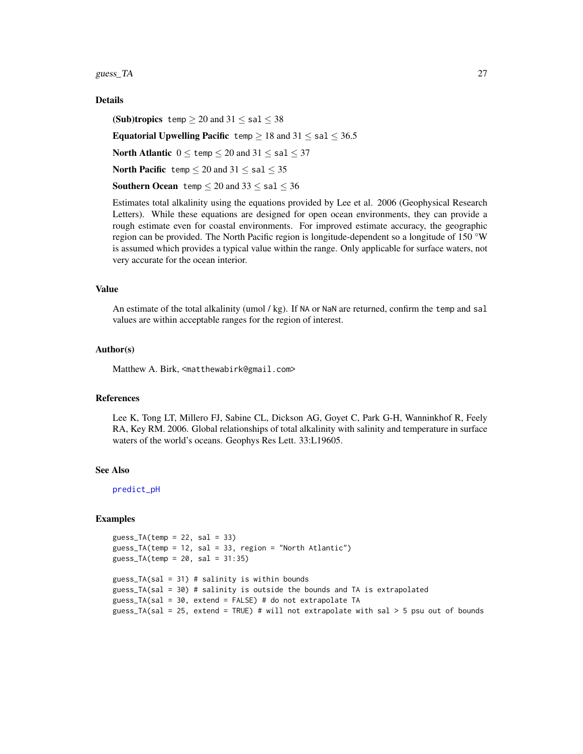<span id="page-26-0"></span>guess\_TA  $27$ 

#### Details

(Sub)tropics temp  $\geq 20$  and  $31 \leq$  sal  $\leq 38$ 

Equatorial Upwelling Pacific temp  $\geq 18$  and  $31 \leq$  sal  $\leq 36.5$ 

North Atlantic  $0 \leq$  temp  $\leq 20$  and  $31 \leq$  sal  $\leq 37$ 

North Pacific temp  $\leq 20$  and  $31 \leq$  sal  $\leq 35$ 

**Southern Ocean** temp  $\leq 20$  and  $33 \leq$  sal  $\leq 36$ 

Estimates total alkalinity using the equations provided by Lee et al. 2006 (Geophysical Research Letters). While these equations are designed for open ocean environments, they can provide a rough estimate even for coastal environments. For improved estimate accuracy, the geographic region can be provided. The North Pacific region is longitude-dependent so a longitude of 150 °W is assumed which provides a typical value within the range. Only applicable for surface waters, not very accurate for the ocean interior.

# Value

An estimate of the total alkalinity (umol / kg). If NA or NaN are returned, confirm the temp and sal values are within acceptable ranges for the region of interest.

#### Author(s)

Matthew A. Birk, <matthewabirk@gmail.com>

# References

Lee K, Tong LT, Millero FJ, Sabine CL, Dickson AG, Goyet C, Park G-H, Wanninkhof R, Feely RA, Key RM. 2006. Global relationships of total alkalinity with salinity and temperature in surface waters of the world's oceans. Geophys Res Lett. 33:L19605.

# See Also

[predict\\_pH](#page-44-1)

#### Examples

```
guess_TA(temp = 22, sal = 33)
guess_TA(temp = 12, sal = 33, region = "North Atlantic")
guess_TA(temp = 20, sal = 31:35)
guess_TA(sal = 31) # salinity is within bounds
guess_TA(sal = 30) # salinity is outside the bounds and TA is extrapolated
guess_TA(sal = 30, extend = FALSE) # do not extrapolate TA
guess_TA(sal = 25, extend = TRUE) # will not extrapolate with sal > 5 psu out of bounds
```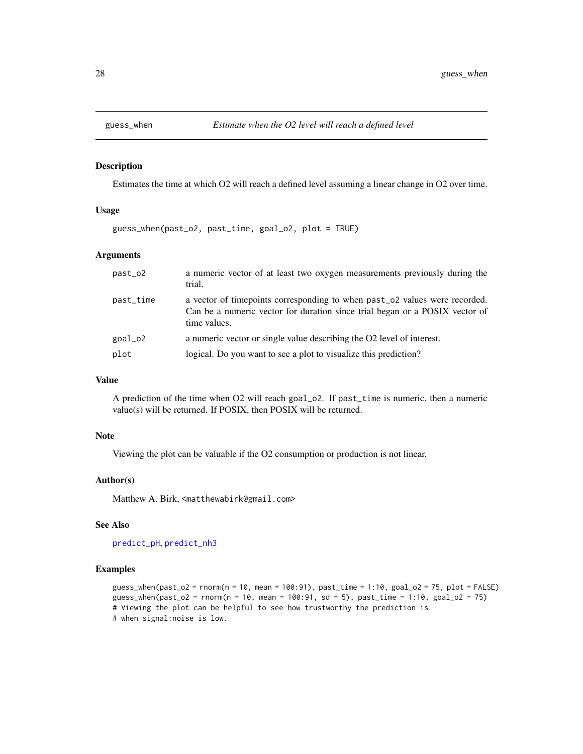<span id="page-27-0"></span>

#### Description

Estimates the time at which O2 will reach a defined level assuming a linear change in O2 over time.

# Usage

guess\_when(past\_o2, past\_time, goal\_o2, plot = TRUE)

#### Arguments

| past_o2   | a numeric vector of at least two oxygen measurements previously during the<br>trial.                                                                                             |
|-----------|----------------------------------------------------------------------------------------------------------------------------------------------------------------------------------|
| past_time | a vector of timepoints corresponding to when past $\sim$ 02 values were recorded.<br>Can be a numeric vector for duration since trial began or a POSIX vector of<br>time values. |
| goal_o2   | a numeric vector or single value describing the O2 level of interest.                                                                                                            |
| plot      | logical. Do you want to see a plot to visualize this prediction?                                                                                                                 |

# Value

A prediction of the time when O2 will reach goal\_o2. If past\_time is numeric, then a numeric value(s) will be returned. If POSIX, then POSIX will be returned.

# Note

Viewing the plot can be valuable if the O2 consumption or production is not linear.

#### Author(s)

Matthew A. Birk, <matthewabirk@gmail.com>

#### See Also

[predict\\_pH](#page-44-1), [predict\\_nh3](#page-43-1)

#### Examples

```
guess_when(past_o2 = rnorm(n = 10, mean = 100:91), past_time = 1:10, goal_o2 = 75, plot = FALSE)
guess_when(past_o2 = rnorm(n = 10, mean = 100:91, sd = 5), past_time = 1:10, goal_o2 = 75)
# Viewing the plot can be helpful to see how trustworthy the prediction is
# when signal:noise is low.
```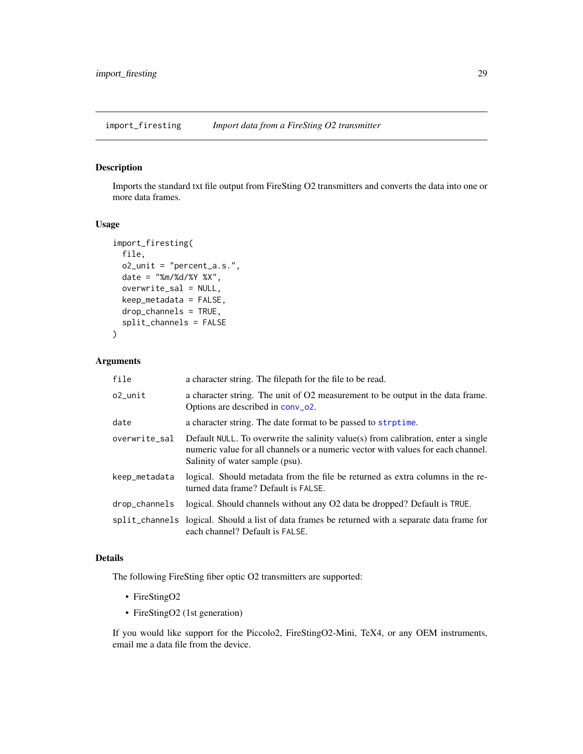<span id="page-28-1"></span><span id="page-28-0"></span>import\_firesting *Import data from a FireSting O2 transmitter*

# Description

Imports the standard txt file output from FireSting O2 transmitters and converts the data into one or more data frames.

# Usage

```
import_firesting(
 file,
 o2_unit = "percent_a.s.",
 date = "%m/%d/%Y %X",
 overwrite_sal = NULL,
 keep_metadata = FALSE,
 drop_channels = TRUE,
  split_channels = FALSE
)
```
# Arguments

| file          | a character string. The filepath for the file to be read.                                                                                                                                                |
|---------------|----------------------------------------------------------------------------------------------------------------------------------------------------------------------------------------------------------|
| $o2$ _unit    | a character string. The unit of O2 measurement to be output in the data frame.<br>Options are described in conv_o2.                                                                                      |
| date          | a character string. The date format to be passed to strptime.                                                                                                                                            |
| overwrite_sal | Default NULL. To overwrite the salinity value(s) from calibration, enter a single<br>numeric value for all channels or a numeric vector with values for each channel.<br>Salinity of water sample (psu). |
| keep_metadata | logical. Should metadata from the file be returned as extra columns in the re-<br>turned data frame? Default is FALSE.                                                                                   |
| drop_channels | logical. Should channels without any O2 data be dropped? Default is TRUE.                                                                                                                                |
|               | split_channels logical. Should a list of data frames be returned with a separate data frame for<br>each channel? Default is FALSE.                                                                       |

#### Details

The following FireSting fiber optic O2 transmitters are supported:

- FireStingO2
- FireStingO2 (1st generation)

If you would like support for the Piccolo2, FireStingO2-Mini, TeX4, or any OEM instruments, email me a data file from the device.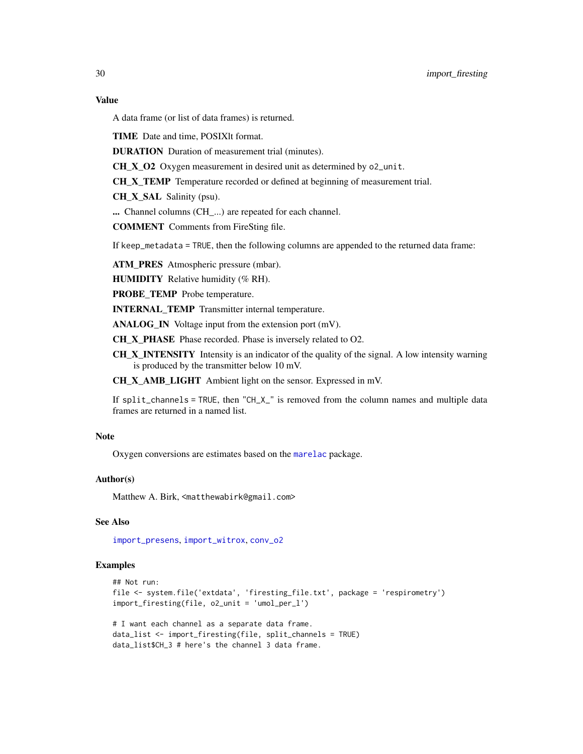# <span id="page-29-0"></span>Value

A data frame (or list of data frames) is returned.

TIME Date and time, POSIXlt format.

DURATION Duration of measurement trial (minutes).

CH\_X\_O2 Oxygen measurement in desired unit as determined by o2\_unit.

CH\_X\_TEMP Temperature recorded or defined at beginning of measurement trial.

CH\_X\_SAL Salinity (psu).

... Channel columns (CH\_...) are repeated for each channel.

COMMENT Comments from FireSting file.

If keep\_metadata = TRUE, then the following columns are appended to the returned data frame:

ATM\_PRES Atmospheric pressure (mbar).

HUMIDITY Relative humidity (% RH).

PROBE\_TEMP Probe temperature.

INTERNAL\_TEMP Transmitter internal temperature.

ANALOG\_IN Voltage input from the extension port (mV).

CH\_X\_PHASE Phase recorded. Phase is inversely related to O2.

CH\_X\_INTENSITY Intensity is an indicator of the quality of the signal. A low intensity warning is produced by the transmitter below 10 mV.

CH\_X\_AMB\_LIGHT Ambient light on the sensor. Expressed in mV.

If split\_channels = TRUE, then "CH\_X\_" is removed from the column names and multiple data frames are returned in a named list.

# Note

Oxygen conversions are estimates based on the [marelac](#page-0-0) package.

#### Author(s)

Matthew A. Birk, <matthewabirk@gmail.com>

# See Also

[import\\_presens](#page-30-1), [import\\_witrox](#page-32-1), [conv\\_o2](#page-16-1)

# Examples

```
## Not run:
file <- system.file('extdata', 'firesting_file.txt', package = 'respirometry')
import_firesting(file, o2_unit = 'umol_per_l')
```

```
# I want each channel as a separate data frame.
data_list <- import_firesting(file, split_channels = TRUE)
data_list$CH_3 # here's the channel 3 data frame.
```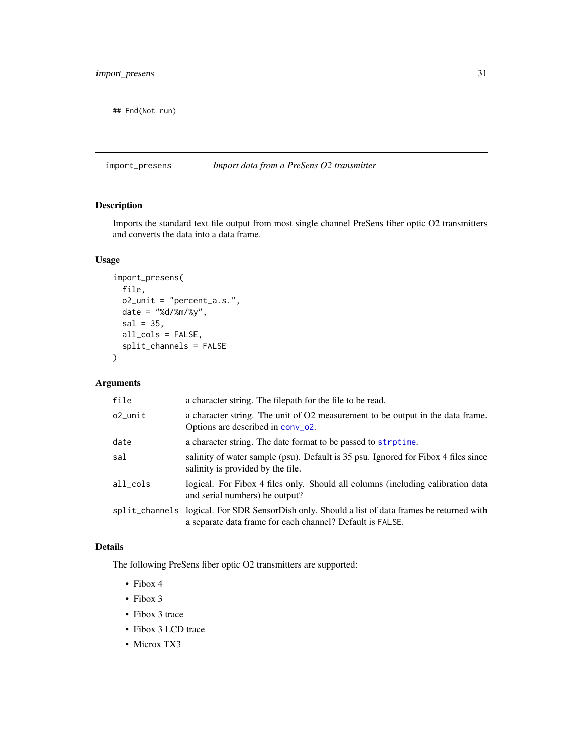<span id="page-30-0"></span>## End(Not run)

<span id="page-30-1"></span>import\_presens *Import data from a PreSens O2 transmitter*

# Description

Imports the standard text file output from most single channel PreSens fiber optic O2 transmitters and converts the data into a data frame.

# Usage

```
import_presens(
 file,
 o2_unit = "percent_a.s.",
 date = "%d/%m/%y",
  sal = 35,all_cols = FALSE,
  split_channels = FALSE
\mathcal{L}
```
# Arguments

| file       | a character string. The filepath for the file to be read.                                                                                                   |
|------------|-------------------------------------------------------------------------------------------------------------------------------------------------------------|
| $o2$ _unit | a character string. The unit of O2 measurement to be output in the data frame.<br>Options are described in conv_o2.                                         |
| date       | a character string. The date format to be passed to strptime.                                                                                               |
| sal        | salinity of water sample (psu). Default is 35 psu. Ignored for Fibox 4 files since<br>salinity is provided by the file.                                     |
| all_cols   | logical. For Fibox 4 files only. Should all columns (including calibration data<br>and serial numbers) be output?                                           |
|            | split_channels logical. For SDR SensorDish only. Should a list of data frames be returned with<br>a separate data frame for each channel? Default is FALSE. |

# Details

The following PreSens fiber optic O2 transmitters are supported:

- Fibox 4
- Fibox 3
- Fibox 3 trace
- Fibox 3 LCD trace
- Microx TX3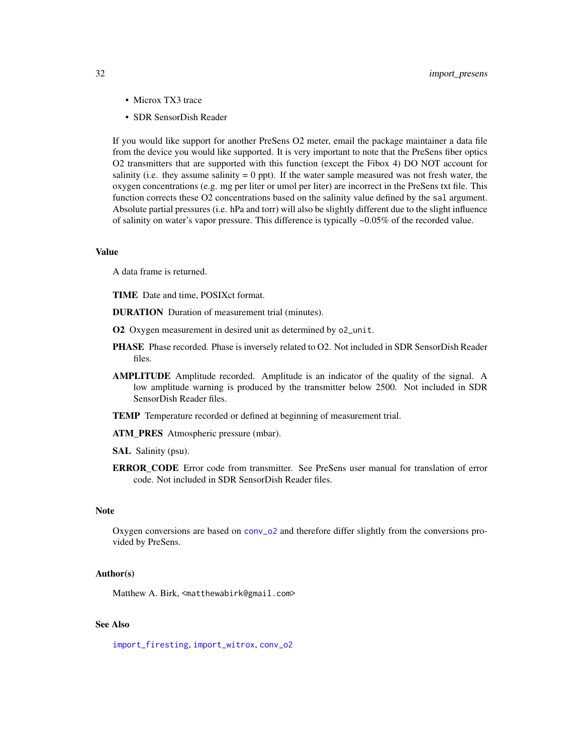- <span id="page-31-0"></span>• Microx TX3 trace
- SDR SensorDish Reader

If you would like support for another PreSens O2 meter, email the package maintainer a data file from the device you would like supported. It is very important to note that the PreSens fiber optics O2 transmitters that are supported with this function (except the Fibox 4) DO NOT account for salinity (i.e. they assume salinity  $= 0$  ppt). If the water sample measured was not fresh water, the oxygen concentrations (e.g. mg per liter or umol per liter) are incorrect in the PreSens txt file. This function corrects these O2 concentrations based on the salinity value defined by the sal argument. Absolute partial pressures (i.e. hPa and torr) will also be slightly different due to the slight influence of salinity on water's vapor pressure. This difference is typically ~0.05% of the recorded value.

#### Value

A data frame is returned.

TIME Date and time, POSIXct format.

- DURATION Duration of measurement trial (minutes).
- O2 Oxygen measurement in desired unit as determined by o2\_unit.
- PHASE Phase recorded. Phase is inversely related to O2. Not included in SDR SensorDish Reader files.
- AMPLITUDE Amplitude recorded. Amplitude is an indicator of the quality of the signal. A low amplitude warning is produced by the transmitter below 2500. Not included in SDR SensorDish Reader files.
- TEMP Temperature recorded or defined at beginning of measurement trial.
- ATM\_PRES Atmospheric pressure (mbar).
- SAL Salinity (psu).
- ERROR\_CODE Error code from transmitter. See PreSens user manual for translation of error code. Not included in SDR SensorDish Reader files.

#### **Note**

Oxygen conversions are based on [conv\\_o2](#page-16-1) and therefore differ slightly from the conversions provided by PreSens.

#### Author(s)

Matthew A. Birk, <matthewabirk@gmail.com>

# See Also

[import\\_firesting](#page-28-1), [import\\_witrox](#page-32-1), [conv\\_o2](#page-16-1)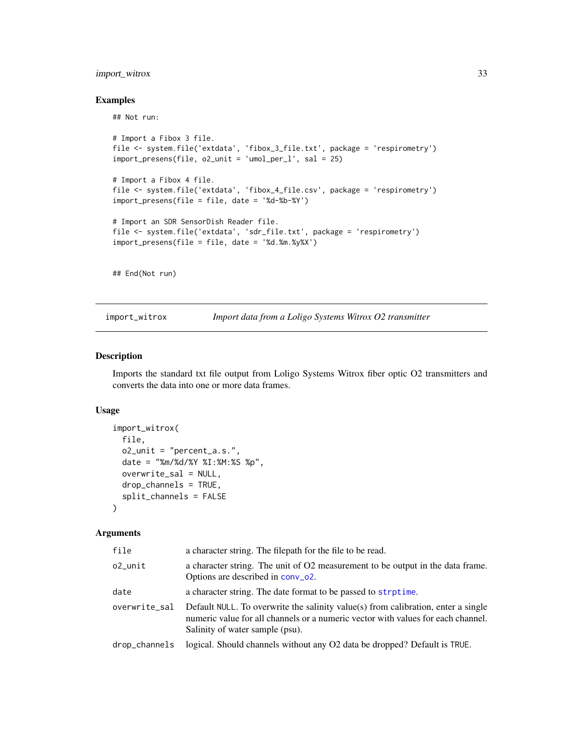# <span id="page-32-0"></span>import\_witrox 33

#### Examples

## Not run:

```
# Import a Fibox 3 file.
file <- system.file('extdata', 'fibox_3_file.txt', package = 'respirometry')
import_presens(file, o2_unit = 'umol_per_l', sal = 25)
# Import a Fibox 4 file.
file <- system.file('extdata', 'fibox_4_file.csv', package = 'respirometry')
import_presens(file = file, date = '%d-%b-%Y')
# Import an SDR SensorDish Reader file.
file <- system.file('extdata', 'sdr_file.txt', package = 'respirometry')
import_presens(file = file, date = '%d.%m.%y%X')
```
## End(Not run)

<span id="page-32-1"></span>import\_witrox *Import data from a Loligo Systems Witrox O2 transmitter*

# Description

Imports the standard txt file output from Loligo Systems Witrox fiber optic O2 transmitters and converts the data into one or more data frames.

# Usage

```
import_witrox(
  file,
 o2_unit = "percent_a.s.",
 date = "%m/%d/%Y %I:%M:%S %p",
 overwrite_sal = NULL,
 drop_channels = TRUE,
  split_channels = FALSE
)
```

| file          | a character string. The filepath for the file to be read.                                                                                                                                                |
|---------------|----------------------------------------------------------------------------------------------------------------------------------------------------------------------------------------------------------|
| o2_unit       | a character string. The unit of O2 measurement to be output in the data frame.<br>Options are described in conv_o2.                                                                                      |
| date          | a character string. The date format to be passed to strptime.                                                                                                                                            |
| overwrite_sal | Default NULL. To overwrite the salinity value(s) from calibration, enter a single<br>numeric value for all channels or a numeric vector with values for each channel.<br>Salinity of water sample (psu). |
| drop_channels | logical. Should channels without any O2 data be dropped? Default is TRUE.                                                                                                                                |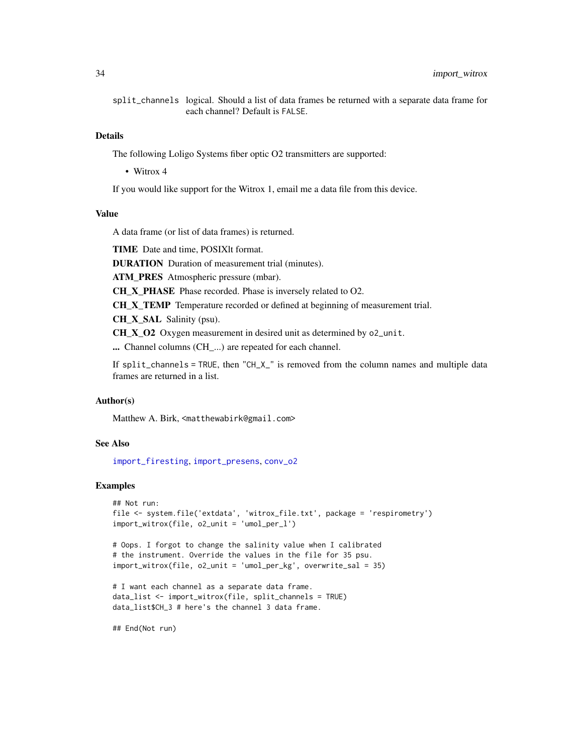<span id="page-33-0"></span>split\_channels logical. Should a list of data frames be returned with a separate data frame for each channel? Default is FALSE.

#### Details

The following Loligo Systems fiber optic O2 transmitters are supported:

• Witrox 4

If you would like support for the Witrox 1, email me a data file from this device.

# Value

A data frame (or list of data frames) is returned.

TIME Date and time, POSIXlt format.

DURATION Duration of measurement trial (minutes).

ATM\_PRES Atmospheric pressure (mbar).

CH\_X\_PHASE Phase recorded. Phase is inversely related to O2.

CH\_X\_TEMP Temperature recorded or defined at beginning of measurement trial.

CH\_X\_SAL Salinity (psu).

CH\_X\_O2 Oxygen measurement in desired unit as determined by o2\_unit.

... Channel columns (CH ...) are repeated for each channel.

If split\_channels = TRUE, then "CH\_X\_" is removed from the column names and multiple data frames are returned in a list.

# Author(s)

Matthew A. Birk, <matthewabirk@gmail.com>

#### See Also

[import\\_firesting](#page-28-1), [import\\_presens](#page-30-1), [conv\\_o2](#page-16-1)

# Examples

```
## Not run:
file <- system.file('extdata', 'witrox_file.txt', package = 'respirometry')
import_witrox(file, o2_unit = 'umol_per_l')
```

```
# Oops. I forgot to change the salinity value when I calibrated
# the instrument. Override the values in the file for 35 psu.
import_witrox(file, o2_unit = 'umol_per_kg', overwrite_sal = 35)
```

```
# I want each channel as a separate data frame.
data_list <- import_witrox(file, split_channels = TRUE)
data_list$CH_3 # here's the channel 3 data frame.
```
## End(Not run)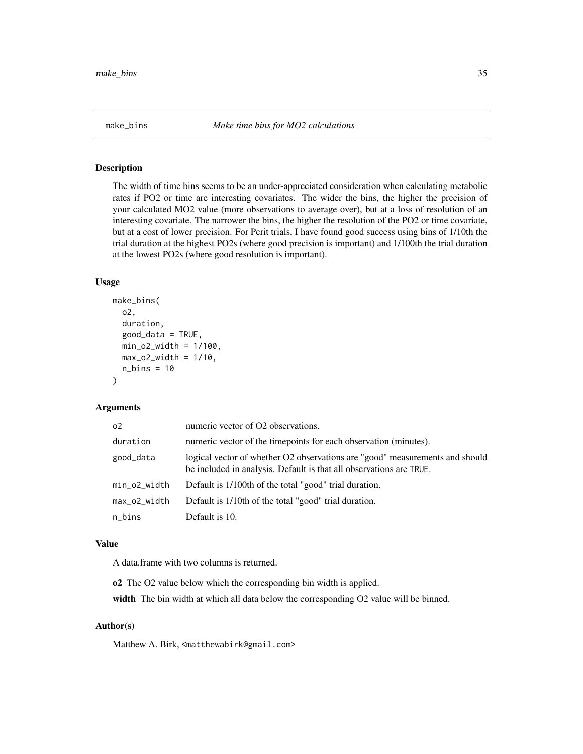#### <span id="page-34-1"></span><span id="page-34-0"></span>Description

The width of time bins seems to be an under-appreciated consideration when calculating metabolic rates if PO2 or time are interesting covariates. The wider the bins, the higher the precision of your calculated MO2 value (more observations to average over), but at a loss of resolution of an interesting covariate. The narrower the bins, the higher the resolution of the PO2 or time covariate, but at a cost of lower precision. For Pcrit trials, I have found good success using bins of 1/10th the trial duration at the highest PO2s (where good precision is important) and 1/100th the trial duration at the lowest PO2s (where good resolution is important).

# Usage

```
make_bins(
  o2,
  duration,
  good_data = TRUE,
 min_02_width = 1/100,
  max_02_width = 1/10,
  n_{\text{bins}} = 10)
```
# Arguments

| 0 <sup>2</sup> | numeric vector of O2 observations.                                                                                                                  |
|----------------|-----------------------------------------------------------------------------------------------------------------------------------------------------|
| duration       | numeric vector of the timepoints for each observation (minutes).                                                                                    |
| good_data      | logical vector of whether O2 observations are "good" measurements and should<br>be included in analysis. Default is that all observations are TRUE. |
| min_o2_width   | Default is 1/100th of the total "good" trial duration.                                                                                              |
| max_o2_width   | Default is 1/10th of the total "good" trial duration.                                                                                               |
| n_bins         | Default is 10.                                                                                                                                      |

# Value

A data.frame with two columns is returned.

o2 The O2 value below which the corresponding bin width is applied.

width The bin width at which all data below the corresponding O2 value will be binned.

# Author(s)

Matthew A. Birk, <matthewabirk@gmail.com>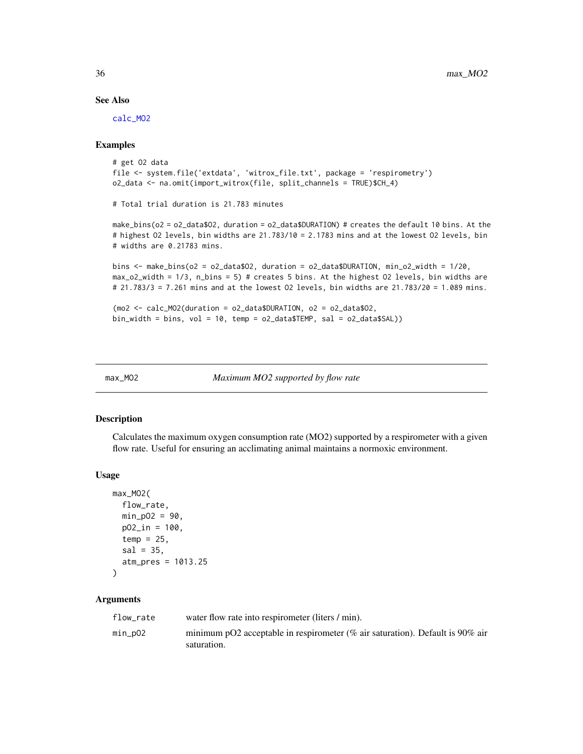#### See Also

[calc\\_MO2](#page-5-1)

# Examples

```
# get O2 data
file <- system.file('extdata', 'witrox_file.txt', package = 'respirometry')
o2_data <- na.omit(import_witrox(file, split_channels = TRUE)$CH_4)
# Total trial duration is 21.783 minutes
make_bins(o2 = o2_data$O2, duration = o2_data$DURATION) # creates the default 10 bins. At the
# highest O2 levels, bin widths are 21.783/10 = 2.1783 mins and at the lowest O2 levels, bin
# widths are 0.21783 mins.
bins \leq make_bins(o2 = o2_data$02, duration = o2_data$DURATION, min_o2_width = 1/20,
max_o2_width = 1/3, n_bins = 5) # creates 5 bins. At the highest O2 levels, bin widths are
# 21.783/3 = 7.261 mins and at the lowest O2 levels, bin widths are 21.783/20 = 1.089 mins.
(mo2 <- calc_MO2(duration = o2_data$DURATION, o2 = o2_data$O2,
bin\_width = bins, vol = 10, temp = o2_data$TEMP, sal = o2_data$SAL)
```

```
max_MO2 Maximum MO2 supported by flow rate
```
#### Description

Calculates the maximum oxygen consumption rate (MO2) supported by a respirometer with a given flow rate. Useful for ensuring an acclimating animal maintains a normoxic environment.

#### Usage

```
max_MO2(
  flow_rate,
  min_pO2 = 90,
  p02_{in} = 100,
  temp = 25,
  sal = 35,atm_pres = 1013.25
)
```

| flow rate | water flow rate into respirometer (liters / min).                                            |
|-----------|----------------------------------------------------------------------------------------------|
| min_pO2   | minimum pO2 acceptable in respirometer (% air saturation). Default is 90% air<br>saturation. |

<span id="page-35-0"></span>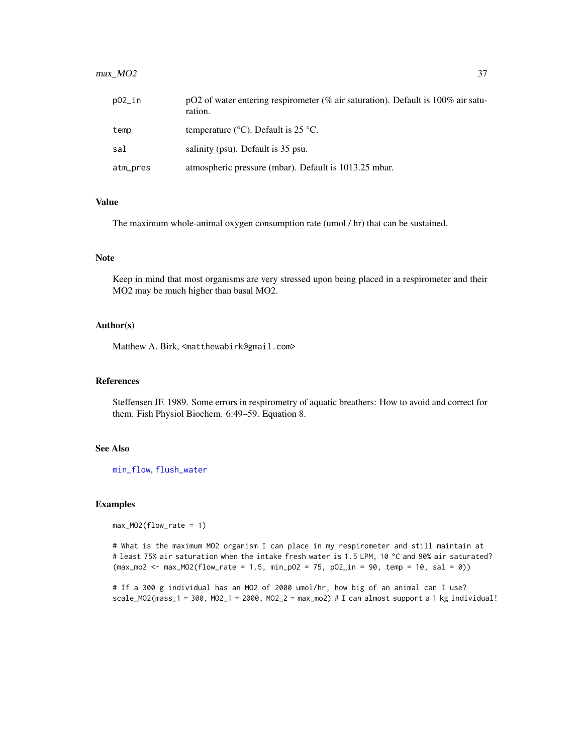# <span id="page-36-0"></span>max\_MO2 37

| $p02$ _in | pO2 of water entering respirometer (% air saturation). Default is $100\%$ air satu-<br>ration. |
|-----------|------------------------------------------------------------------------------------------------|
| temp      | temperature ( $\rm{^{\circ}C}$ ). Default is 25 $\rm{^{\circ}C}$ .                             |
| sal       | salinity (psu). Default is 35 psu.                                                             |
| atm_pres  | atmospheric pressure (mbar). Default is 1013.25 mbar.                                          |

#### Value

The maximum whole-animal oxygen consumption rate (umol / hr) that can be sustained.

# Note

Keep in mind that most organisms are very stressed upon being placed in a respirometer and their MO2 may be much higher than basal MO2.

# Author(s)

Matthew A. Birk, <matthewabirk@gmail.com>

#### References

Steffensen JF. 1989. Some errors in respirometry of aquatic breathers: How to avoid and correct for them. Fish Physiol Biochem. 6:49–59. Equation 8.

# See Also

[min\\_flow](#page-38-1), [flush\\_water](#page-23-1)

#### Examples

```
max_MO2(flow_rate = 1)
```
# What is the maximum MO2 organism I can place in my respirometer and still maintain at # least 75% air saturation when the intake fresh water is 1.5 LPM, 10 °C and 90% air saturated? (max\_mo2 <- max\_MO2(flow\_rate = 1.5, min\_pO2 = 75, pO2\_in = 90, temp = 10, sal = 0))

# If a 300 g individual has an MO2 of 2000 umol/hr, how big of an animal can I use? scale\_MO2(mass\_1 = 300, MO2\_1 = 2000, MO2\_2 = max\_mo2) # I can almost support a 1 kg individual!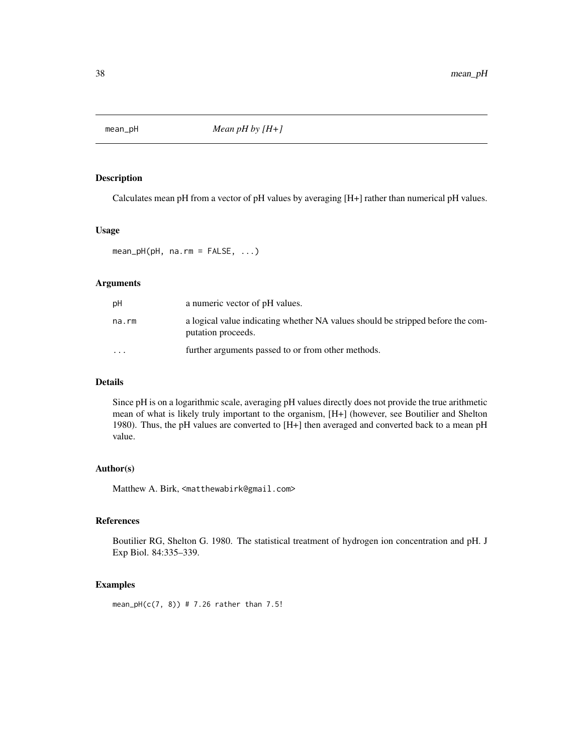<span id="page-37-0"></span>

# Description

Calculates mean pH from a vector of pH values by averaging [H+] rather than numerical pH values.

# Usage

mean\_pH(pH, na.rm = FALSE, ...)

# Arguments

| pН        | a numeric vector of pH values.                                                                        |
|-----------|-------------------------------------------------------------------------------------------------------|
| na.rm     | a logical value indicating whether NA values should be stripped before the com-<br>putation proceeds. |
| $\ddotsc$ | further arguments passed to or from other methods.                                                    |

# Details

Since pH is on a logarithmic scale, averaging pH values directly does not provide the true arithmetic mean of what is likely truly important to the organism, [H+] (however, see Boutilier and Shelton 1980). Thus, the pH values are converted to [H+] then averaged and converted back to a mean pH value.

# Author(s)

Matthew A. Birk, <matthewabirk@gmail.com>

# References

Boutilier RG, Shelton G. 1980. The statistical treatment of hydrogen ion concentration and pH. J Exp Biol. 84:335–339.

#### Examples

mean\_pH( $c(7, 8)$ ) # 7.26 rather than 7.5!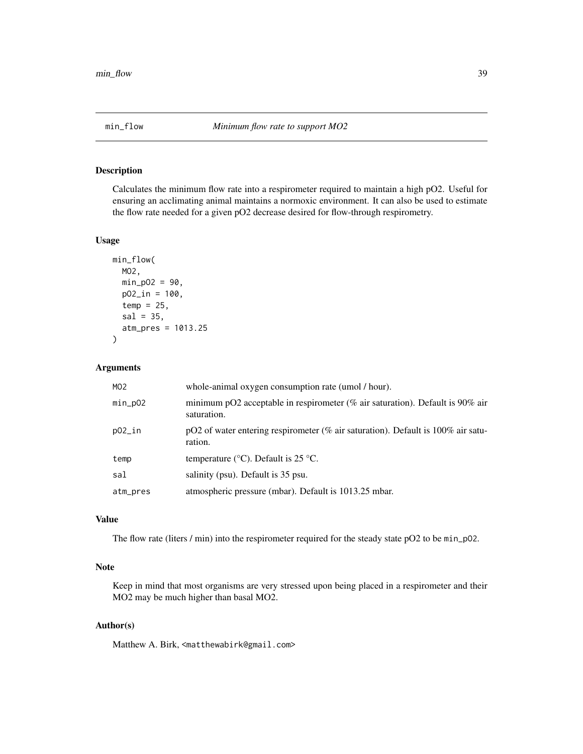<span id="page-38-1"></span><span id="page-38-0"></span>

#### Description

Calculates the minimum flow rate into a respirometer required to maintain a high pO2. Useful for ensuring an acclimating animal maintains a normoxic environment. It can also be used to estimate the flow rate needed for a given pO2 decrease desired for flow-through respirometry.

# Usage

```
min_flow(
  MO2,
 min_pO2 = 90,
 p02_{in} = 100,
  temp = 25,
  sal = 35,
  atm_pres = 1013.25
)
```
# Arguments

| MO <sub>2</sub> | whole-animal oxygen consumption rate (umol / hour).                                            |
|-----------------|------------------------------------------------------------------------------------------------|
| $min_pO2$       | minimum pO2 acceptable in respirement (% air saturation). Default is 90% air<br>saturation.    |
| p02_in          | pO2 of water entering respirometer (% air saturation). Default is $100\%$ air satu-<br>ration. |
| temp            | temperature ( $\rm{^{\circ}C}$ ). Default is 25 $\rm{^{\circ}C}$ .                             |
| sal             | salinity (psu). Default is 35 psu.                                                             |
| atm_pres        | atmospheric pressure (mbar). Default is 1013.25 mbar.                                          |

# Value

The flow rate (liters / min) into the respirometer required for the steady state pO2 to be min\_p02.

# Note

Keep in mind that most organisms are very stressed upon being placed in a respirometer and their MO2 may be much higher than basal MO2.

# Author(s)

Matthew A. Birk, <matthewabirk@gmail.com>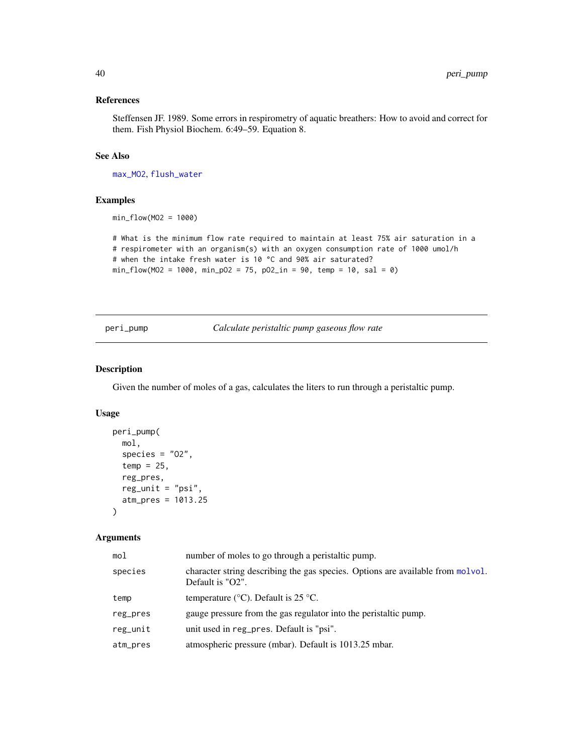# <span id="page-39-0"></span>References

Steffensen JF. 1989. Some errors in respirometry of aquatic breathers: How to avoid and correct for them. Fish Physiol Biochem. 6:49–59. Equation 8.

# See Also

[max\\_MO2](#page-35-1), [flush\\_water](#page-23-1)

#### Examples

min\_flow(MO2 = 1000)

```
# What is the minimum flow rate required to maintain at least 75% air saturation in a
# respirometer with an organism(s) with an oxygen consumption rate of 1000 umol/h
# when the intake fresh water is 10 °C and 90% air saturated?
min_flow(MO2 = 1000, min_pO2 = 75, pO2_in = 90, temp = 10, sal = 0)
```
<span id="page-39-1"></span>peri\_pump *Calculate peristaltic pump gaseous flow rate*

#### Description

Given the number of moles of a gas, calculates the liters to run through a peristaltic pump.

#### Usage

```
peri_pump(
 mol,
  species = "02",temp = 25,reg_pres,
  reg\_unit = "psi",atm_pres = 1013.25
\lambda
```

| mol      | number of moles to go through a peristaltic pump.                                                   |
|----------|-----------------------------------------------------------------------------------------------------|
| species  | character string describing the gas species. Options are available from molvol.<br>Default is "O2". |
| temp     | temperature ( $\rm{^{\circ}C}$ ). Default is 25 $\rm{^{\circ}C}$ .                                  |
| reg_pres | gauge pressure from the gas regulator into the peristaltic pump.                                    |
| reg_unit | unit used in reg_pres. Default is "psi".                                                            |
| atm_pres | atmospheric pressure (mbar). Default is 1013.25 mbar.                                               |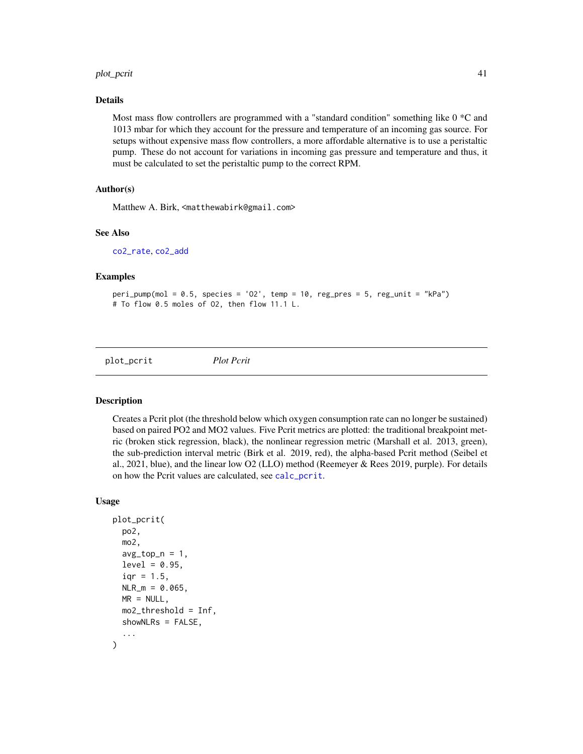#### <span id="page-40-0"></span>plot\_pcrit 41

#### Details

Most mass flow controllers are programmed with a "standard condition" something like 0 \*C and 1013 mbar for which they account for the pressure and temperature of an incoming gas source. For setups without expensive mass flow controllers, a more affordable alternative is to use a peristaltic pump. These do not account for variations in incoming gas pressure and temperature and thus, it must be calculated to set the peristaltic pump to the correct RPM.

# Author(s)

Matthew A. Birk, <matthewabirk@gmail.com>

#### See Also

[co2\\_rate](#page-14-1), [co2\\_add](#page-11-1)

#### Examples

```
peri_pump(mod = 0.5, species = '02', temp = 10, reg_pres = 5, reg_unit = "kPa")# To flow 0.5 moles of O2, then flow 11.1 L.
```
<span id="page-40-1"></span>plot\_pcrit *Plot Pcrit*

#### **Description**

Creates a Pcrit plot (the threshold below which oxygen consumption rate can no longer be sustained) based on paired PO2 and MO2 values. Five Pcrit metrics are plotted: the traditional breakpoint metric (broken stick regression, black), the nonlinear regression metric (Marshall et al. 2013, green), the sub-prediction interval metric (Birk et al. 2019, red), the alpha-based Pcrit method (Seibel et al., 2021, blue), and the linear low O2 (LLO) method (Reemeyer & Rees 2019, purple). For details on how the Pcrit values are calculated, see [calc\\_pcrit](#page-7-1).

#### Usage

```
plot_pcrit(
  po2,
  mo2,
  avg\_top_n = 1,
  level = 0.95,iqr = 1.5,
  NLR_m = 0.065,
 MR = NULL,mo2_threshold = Inf,
  showNLRs = FALSE,
  ...
)
```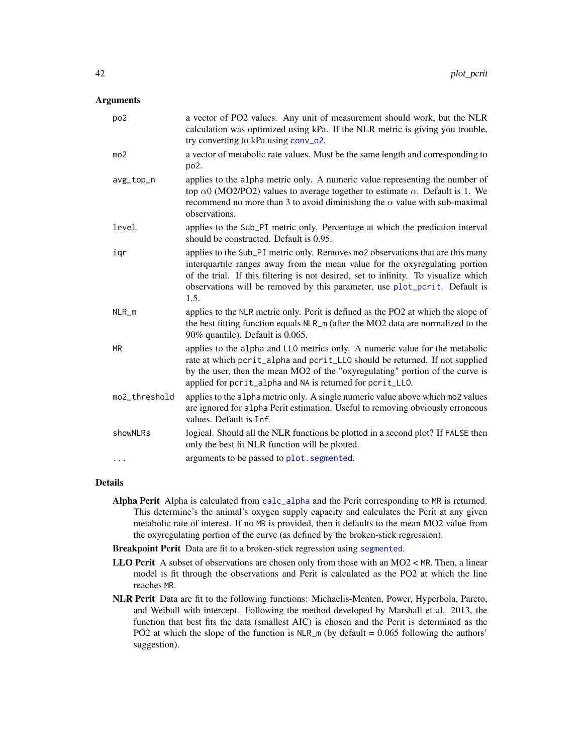# <span id="page-41-0"></span>Arguments

| po <sub>2</sub> | a vector of PO2 values. Any unit of measurement should work, but the NLR<br>calculation was optimized using kPa. If the NLR metric is giving you trouble,<br>try converting to kPa using conv_o2.                                                                                                                                          |
|-----------------|--------------------------------------------------------------------------------------------------------------------------------------------------------------------------------------------------------------------------------------------------------------------------------------------------------------------------------------------|
| mo <sub>2</sub> | a vector of metabolic rate values. Must be the same length and corresponding to<br>po <sub>2</sub> .                                                                                                                                                                                                                                       |
| avg_top_n       | applies to the alpha metric only. A numeric value representing the number of<br>top $\alpha$ 0 (MO2/PO2) values to average together to estimate $\alpha$ . Default is 1. We<br>recommend no more than 3 to avoid diminishing the $\alpha$ value with sub-maximal<br>observations.                                                          |
| level           | applies to the Sub_PI metric only. Percentage at which the prediction interval<br>should be constructed. Default is 0.95.                                                                                                                                                                                                                  |
| igr             | applies to the Sub_PI metric only. Removes mo2 observations that are this many<br>interquartile ranges away from the mean value for the oxyregulating portion<br>of the trial. If this filtering is not desired, set to infinity. To visualize which<br>observations will be removed by this parameter, use plot_pcrit. Default is<br>1.5. |
| $NLR_m$         | applies to the NLR metric only. Pcrit is defined as the PO2 at which the slope of<br>the best fitting function equals NLR_m (after the MO2 data are normalized to the<br>90% quantile). Default is 0.065.                                                                                                                                  |
| <b>MR</b>       | applies to the alpha and LLO metrics only. A numeric value for the metabolic<br>rate at which pcrit_alpha and pcrit_LLO should be returned. If not supplied<br>by the user, then the mean MO2 of the "oxyregulating" portion of the curve is<br>applied for pcrit_alpha and NA is returned for pcrit_LLO.                                  |
| mo2_threshold   | applies to the alpha metric only. A single numeric value above which mo2 values<br>are ignored for alpha Pcrit estimation. Useful to removing obviously erroneous<br>values. Default is Inf.                                                                                                                                               |
| showNLRs        | logical. Should all the NLR functions be plotted in a second plot? If FALSE then<br>only the best fit NLR function will be plotted.                                                                                                                                                                                                        |
| .               | arguments to be passed to plot. segmented.                                                                                                                                                                                                                                                                                                 |

#### Details

- Alpha Pcrit Alpha is calculated from [calc\\_alpha](#page-1-1) and the Pcrit corresponding to MR is returned. This determine's the animal's oxygen supply capacity and calculates the Pcrit at any given metabolic rate of interest. If no MR is provided, then it defaults to the mean MO2 value from the oxyregulating portion of the curve (as defined by the broken-stick regression).
- Breakpoint Pcrit Data are fit to a broken-stick regression using [segmented](#page-0-0).
- **LLO Pcrit** A subset of observations are chosen only from those with an MO2  $\lt$  MR. Then, a linear model is fit through the observations and Pcrit is calculated as the PO2 at which the line reaches MR.
- NLR Pcrit Data are fit to the following functions: Michaelis-Menten, Power, Hyperbola, Pareto, and Weibull with intercept. Following the method developed by Marshall et al. 2013, the function that best fits the data (smallest AIC) is chosen and the Pcrit is determined as the PO2 at which the slope of the function is  $NLR_m$  (by default = 0.065 following the authors' suggestion).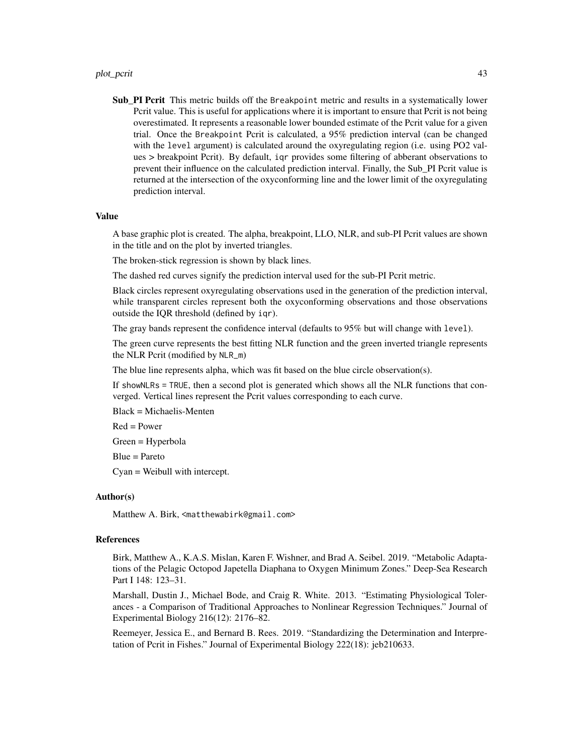#### plot\_pcrit 43

Sub\_PI Pcrit This metric builds off the Breakpoint metric and results in a systematically lower Pcrit value. This is useful for applications where it is important to ensure that Pcrit is not being overestimated. It represents a reasonable lower bounded estimate of the Pcrit value for a given trial. Once the Breakpoint Pcrit is calculated, a 95% prediction interval (can be changed with the level argument) is calculated around the oxyregulating region (i.e. using PO2 values > breakpoint Pcrit). By default, iqr provides some filtering of abberant observations to prevent their influence on the calculated prediction interval. Finally, the Sub\_PI Pcrit value is returned at the intersection of the oxyconforming line and the lower limit of the oxyregulating prediction interval.

#### Value

A base graphic plot is created. The alpha, breakpoint, LLO, NLR, and sub-PI Pcrit values are shown in the title and on the plot by inverted triangles.

The broken-stick regression is shown by black lines.

The dashed red curves signify the prediction interval used for the sub-PI Pcrit metric.

Black circles represent oxyregulating observations used in the generation of the prediction interval, while transparent circles represent both the oxyconforming observations and those observations outside the IQR threshold (defined by iqr).

The gray bands represent the confidence interval (defaults to 95% but will change with level).

The green curve represents the best fitting NLR function and the green inverted triangle represents the NLR Pcrit (modified by NLR\_m)

The blue line represents alpha, which was fit based on the blue circle observation(s).

If showNLRs = TRUE, then a second plot is generated which shows all the NLR functions that converged. Vertical lines represent the Pcrit values corresponding to each curve.

Black = Michaelis-Menten

Red = Power

Green = Hyperbola

Blue = Pareto

Cyan = Weibull with intercept.

#### Author(s)

Matthew A. Birk, <matthewabirk@gmail.com>

## References

Birk, Matthew A., K.A.S. Mislan, Karen F. Wishner, and Brad A. Seibel. 2019. "Metabolic Adaptations of the Pelagic Octopod Japetella Diaphana to Oxygen Minimum Zones." Deep-Sea Research Part I 148: 123–31.

Marshall, Dustin J., Michael Bode, and Craig R. White. 2013. "Estimating Physiological Tolerances - a Comparison of Traditional Approaches to Nonlinear Regression Techniques." Journal of Experimental Biology 216(12): 2176–82.

Reemeyer, Jessica E., and Bernard B. Rees. 2019. "Standardizing the Determination and Interpretation of Pcrit in Fishes." Journal of Experimental Biology 222(18): jeb210633.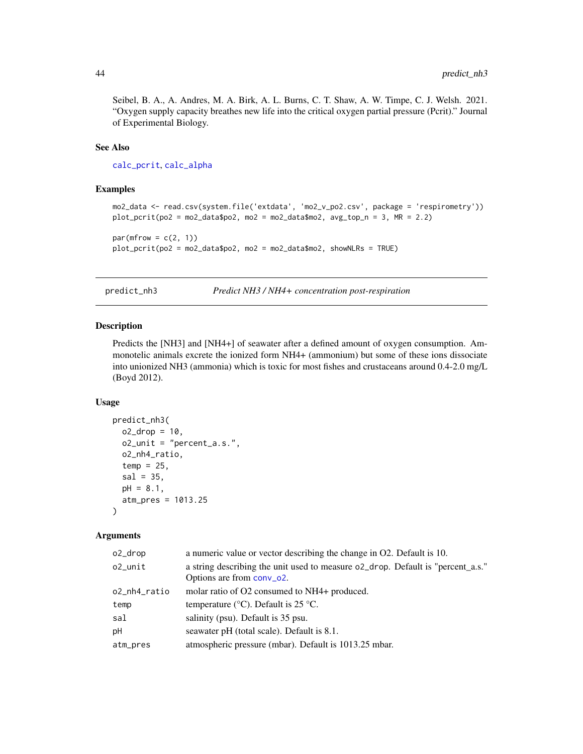<span id="page-43-0"></span>Seibel, B. A., A. Andres, M. A. Birk, A. L. Burns, C. T. Shaw, A. W. Timpe, C. J. Welsh. 2021. "Oxygen supply capacity breathes new life into the critical oxygen partial pressure (Pcrit)." Journal of Experimental Biology.

# See Also

[calc\\_pcrit](#page-7-1), [calc\\_alpha](#page-1-1)

# Examples

```
mo2_data <- read.csv(system.file('extdata', 'mo2_v_po2.csv', package = 'respirometry'))
plot\_print(po2 = mo2\_data\po2, mo2 = mo2\_data\mo2, avg\_top_n = 3, MR = 2.2)
par(mfrow = c(2, 1))
```
plot\_pcrit(po2 = mo2\_data\$po2, mo2 = mo2\_data\$mo2, showNLRs = TRUE)

<span id="page-43-1"></span>predict\_nh3 *Predict NH3 / NH4+ concentration post-respiration*

#### Description

Predicts the [NH3] and [NH4+] of seawater after a defined amount of oxygen consumption. Ammonotelic animals excrete the ionized form NH4+ (ammonium) but some of these ions dissociate into unionized NH3 (ammonia) which is toxic for most fishes and crustaceans around 0.4-2.0 mg/L (Boyd 2012).

# Usage

```
predict_nh3(
  o2_drop = 10,
  o2_unit = "percent_a.s.",
  o2_nh4_ratio,
  temp = 25,
  sal = 35,pH = 8.1,
  atm_pres = 1013.25
\lambda
```

| o2_drop      | a numeric value or vector describing the change in O2. Default is 10.           |
|--------------|---------------------------------------------------------------------------------|
| $o2$ _unit   | a string describing the unit used to measure o2_drop. Default is "percent_a.s." |
|              | Options are from conv_o2.                                                       |
| o2_nh4_ratio | molar ratio of O2 consumed to NH4+ produced.                                    |
| temp         | temperature ( $\rm{°C}$ ). Default is 25 $\rm{°C}$ .                            |
| sal          | salinity (psu). Default is 35 psu.                                              |
| pH           | seawater pH (total scale). Default is 8.1.                                      |
| atm_pres     | atmospheric pressure (mbar). Default is 1013.25 mbar.                           |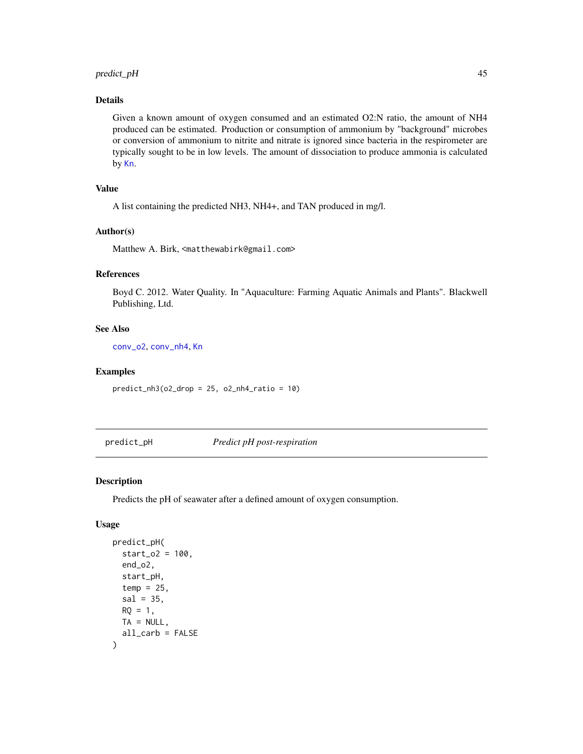# <span id="page-44-0"></span>predict\_pH 45

# Details

Given a known amount of oxygen consumed and an estimated O2:N ratio, the amount of NH4 produced can be estimated. Production or consumption of ammonium by "background" microbes or conversion of ammonium to nitrite and nitrate is ignored since bacteria in the respirometer are typically sought to be in low levels. The amount of dissociation to produce ammonia is calculated by [Kn](#page-0-0).

# Value

A list containing the predicted NH3, NH4+, and TAN produced in mg/l.

#### Author(s)

Matthew A. Birk, <matthewabirk@gmail.com>

# References

Boyd C. 2012. Water Quality. In "Aquaculture: Farming Aquatic Animals and Plants". Blackwell Publishing, Ltd.

# See Also

[conv\\_o2](#page-16-1), [conv\\_nh4](#page-15-1), [Kn](#page-0-0)

#### Examples

 $predict_nh3(o2_drop = 25, o2_nh4_ratio = 10)$ 

<span id="page-44-1"></span>predict\_pH *Predict pH post-respiration*

#### Description

Predicts the pH of seawater after a defined amount of oxygen consumption.

#### Usage

```
predict_pH(
  start_02 = 100,
  end_o2,
  start_pH,
  temp = 25,
  sal = 35,RO = 1,
  TA = NULL,all_carb = FALSE
)
```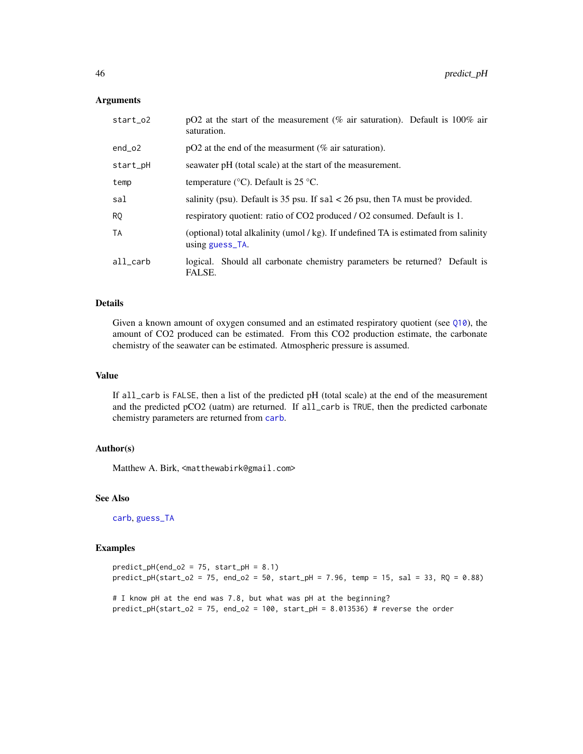#### <span id="page-45-0"></span>Arguments

| start_o2 | pO2 at the start of the measurement (% air saturation). Default is $100\%$ air<br>saturation.        |  |
|----------|------------------------------------------------------------------------------------------------------|--|
| $end_02$ | $pO2$ at the end of the measurment (% air saturation).                                               |  |
| start_pH | seawater pH (total scale) at the start of the measurement.                                           |  |
| temp     | temperature ( $\rm{°C}$ ). Default is 25 $\rm{°C}$ .                                                 |  |
| sal      | salinity (psu). Default is 35 psu. If $sal < 26$ psu, then TA must be provided.                      |  |
| R0       | respiratory quotient: ratio of CO2 produced / O2 consumed. Default is 1.                             |  |
| TA       | (optional) total alkalinity (umol/kg). If undefined TA is estimated from salinity<br>using guess_TA. |  |
| all carb | logical. Should all carbonate chemistry parameters be returned? Default is<br>FALSE.                 |  |

# Details

Given a known amount of oxygen consumed and an estimated respiratory quotient (see [Q10](#page-46-1)), the amount of CO2 produced can be estimated. From this CO2 production estimate, the carbonate chemistry of the seawater can be estimated. Atmospheric pressure is assumed.

# Value

If all\_carb is FALSE, then a list of the predicted pH (total scale) at the end of the measurement and the predicted pCO2 (uatm) are returned. If all\_carb is TRUE, then the predicted carbonate chemistry parameters are returned from [carb](#page-0-0).

#### Author(s)

Matthew A. Birk, <matthewabirk@gmail.com>

# See Also

[carb](#page-0-0), [guess\\_TA](#page-25-1)

#### Examples

```
predict\_pH(end_02 = 75, start\_pH = 8.1)predict_pH(start_o2 = 75, end_o2 = 50, start_pH = 7.96, temp = 15, sal = 33, RQ = 0.88)
```

```
# I know pH at the end was 7.8, but what was pH at the beginning?
predict_pH(start_o2 = 75, end_o2 = 100, start_pH = 8.013536) # reverse the order
```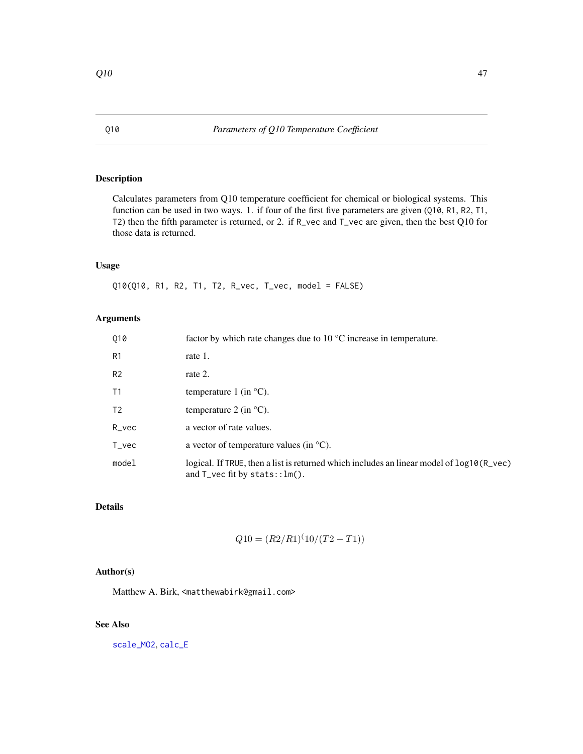# <span id="page-46-1"></span><span id="page-46-0"></span>Description

Calculates parameters from Q10 temperature coefficient for chemical or biological systems. This function can be used in two ways. 1. if four of the first five parameters are given (Q10, R1, R2, T1, T2) then the fifth parameter is returned, or 2. if R\_vec and T\_vec are given, then the best Q10 for those data is returned.

# Usage

Q10(Q10, R1, R2, T1, T2, R\_vec, T\_vec, model = FALSE)

# Arguments

| 010              | factor by which rate changes due to $10^{\circ}$ C increase in temperature.                                                                  |
|------------------|----------------------------------------------------------------------------------------------------------------------------------------------|
| R <sub>1</sub>   | rate 1.                                                                                                                                      |
| R <sub>2</sub>   | rate 2.                                                                                                                                      |
| T1               | temperature 1 (in $^{\circ}$ C).                                                                                                             |
| T <sub>2</sub>   | temperature 2 (in $^{\circ}$ C).                                                                                                             |
| $R$ vec          | a vector of rate values.                                                                                                                     |
| $T_{\rm \_}$ vec | a vector of temperature values (in $^{\circ}C$ ).                                                                                            |
| model            | logical. If TRUE, then a list is returned which includes an linear model of $log10(R_{\text{e}}$ vec)<br>and $T$ vec fit by stats:: $lm()$ . |

# Details

$$
Q10 = (R2/R1)^{(10)/(T2 - T1)})
$$

# Author(s)

Matthew A. Birk, <matthewabirk@gmail.com>

# See Also

[scale\\_MO2](#page-49-1), [calc\\_E](#page-4-1)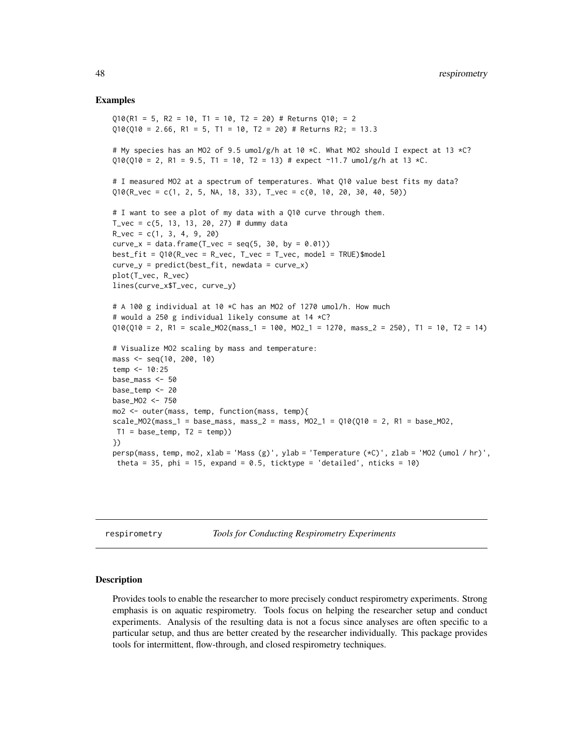#### Examples

```
010(R1 = 5, R2 = 10, T1 = 10, T2 = 20) # Returns 010; = 2
Q10(Q10 = 2.66, R1 = 5, T1 = 10, T2 = 20) # Returns R2; = 13.3
# My species has an MO2 of 9.5 umol/g/h at 10 *C. What MO2 should I expect at 13 *C?
Q10(Q10 = 2, R1 = 9.5, T1 = 10, T2 = 13) # expect ~11.7 umol/g/h at 13 *C.
# I measured MO2 at a spectrum of temperatures. What Q10 value best fits my data?
Q10(R_vec = c(1, 2, 5, NA, 18, 33), T_vec = c(0, 10, 20, 30, 40, 50))
# I want to see a plot of my data with a Q10 curve through them.
T_{\text{v}} = c(5, 13, 13, 20, 27) # dummy data
R_{\text{v}} = c(1, 3, 4, 9, 20)
curve_x = data.frame(T_vec = seq(5, 30, by = 0.01))
best_fit = Q10(R_vec = R_vec, T_vec = T_vec, model = TRUE)$model
curve_y = predict(best_fit, newdata = curve_x)plot(T_vec, R_vec)
lines(curve_x$T_vec, curve_y)
# A 100 g individual at 10 *C has an MO2 of 1270 umol/h. How much
# would a 250 g individual likely consume at 14 *C?
Q10(Q10 = 2, R1 = scale_M02(mass_1 = 100, MO2_1 = 1270, mass_2 = 250), T1 = 10, T2 = 14)# Visualize MO2 scaling by mass and temperature:
mass <- seq(10, 200, 10)
temp <- 10:25
base_mass <- 50
base temp <- 20
base_MO2 <- 750
mo2 <- outer(mass, temp, function(mass, temp){
scale_MO2(mass_1 = base_mass, mass_2 = mass, MO2_1 = Q10(Q10 = 2, R1 = base_M02,T1 = base_ttemp, T2 = temp)})
persp(mass, temp, mo2, xlab = 'Mass (g)', ylab = 'Temperature (*C)', zlab = 'MO2 (umol / hr)',
 theta = 35, phi = 15, expand = 0.5, ticktype = 'detailed', nticks = 10)
```
respirometry *Tools for Conducting Respirometry Experiments*

#### Description

Provides tools to enable the researcher to more precisely conduct respirometry experiments. Strong emphasis is on aquatic respirometry. Tools focus on helping the researcher setup and conduct experiments. Analysis of the resulting data is not a focus since analyses are often specific to a particular setup, and thus are better created by the researcher individually. This package provides tools for intermittent, flow-through, and closed respirometry techniques.

<span id="page-47-0"></span>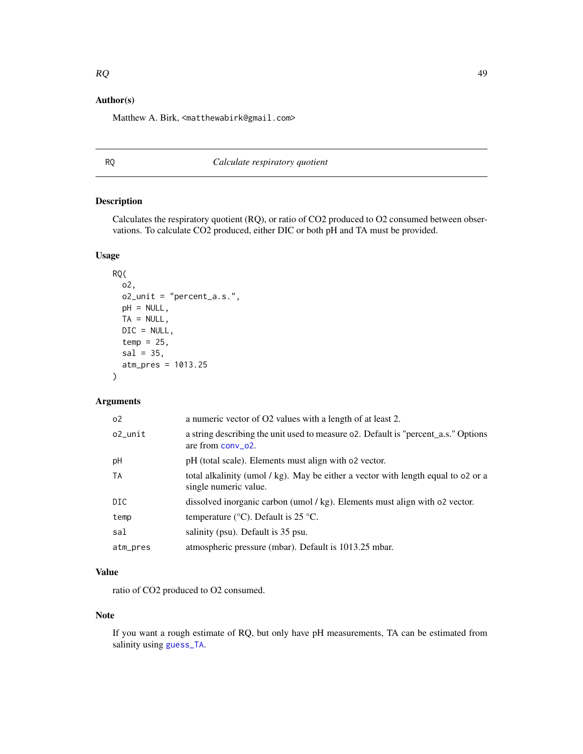# <span id="page-48-0"></span>Author(s)

Matthew A. Birk, <matthewabirk@gmail.com>

# RQ *Calculate respiratory quotient*

# Description

Calculates the respiratory quotient (RQ), or ratio of CO2 produced to O2 consumed between observations. To calculate CO2 produced, either DIC or both pH and TA must be provided.

# Usage

```
RQ(
  o2,
 o2_unit = "percent_a.s.",
 pH = NULL,TA = NULL,DIC = NULL,
  temp = 25,
  sal = 35,atm_pres = 1013.25
\mathcal{L}
```
# Arguments

| 0 <sup>2</sup> | a numeric vector of O2 values with a length of at least 2.                                                 |
|----------------|------------------------------------------------------------------------------------------------------------|
| o2 unit        | a string describing the unit used to measure o2. Default is "percent_a.s." Options<br>are from $conv_02$ . |
| pH             | pH (total scale). Elements must align with o2 vector.                                                      |
| TA             | total alkalinity (umol / kg). May be either a vector with length equal to 02 or a<br>single numeric value. |
| DIC            | dissolved inorganic carbon (umol / kg). Elements must align with o2 vector.                                |
| temp           | temperature ( $\degree$ C). Default is 25 $\degree$ C.                                                     |
| sal            | salinity (psu). Default is 35 psu.                                                                         |
| atm_pres       | atmospheric pressure (mbar). Default is 1013.25 mbar.                                                      |

# Value

ratio of CO2 produced to O2 consumed.

# Note

If you want a rough estimate of RQ, but only have pH measurements, TA can be estimated from salinity using [guess\\_TA](#page-25-1).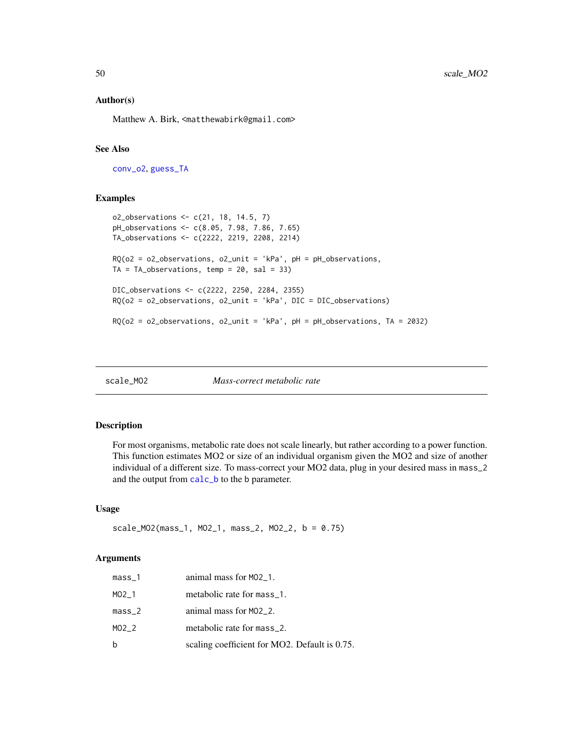#### <span id="page-49-0"></span>Author(s)

Matthew A. Birk, <matthewabirk@gmail.com>

# See Also

[conv\\_o2](#page-16-1), [guess\\_TA](#page-25-1)

# Examples

```
o2_observations <- c(21, 18, 14.5, 7)
pH_observations <- c(8.05, 7.98, 7.86, 7.65)
TA_observations <- c(2222, 2219, 2208, 2214)
RO(o2 = o2_observations, o2_unit = 'kPa', pH = pH_observations,
TA = TA\_observations, temp = 20, sal = 33)DIC_observations <- c(2222, 2250, 2284, 2355)
RQ(o2 = o2_observations, o2_unit = 'kPa', DIC = DIC_observations)
RQ(o2 = o2_observations, o2_unit = 'kPa', pH = pH_observations, TA = 2032)
```
<span id="page-49-1"></span>

| scale MO2 |  |
|-----------|--|
|           |  |

scale\_MO2 *Mass-correct metabolic rate*

# Description

For most organisms, metabolic rate does not scale linearly, but rather according to a power function. This function estimates MO2 or size of an individual organism given the MO2 and size of another individual of a different size. To mass-correct your MO2 data, plug in your desired mass in mass\_2 and the output from [calc\\_b](#page-3-1) to the b parameter.

#### Usage

scale\_MO2(mass\_1, MO2\_1, mass\_2, MO2\_2, b = 0.75)

| $mass_1$ | animal mass for M02_1.                        |
|----------|-----------------------------------------------|
| MO2 1    | metabolic rate for mass_1.                    |
| $mass_2$ | animal mass for MO2_2.                        |
| MO2 2    | metabolic rate for mass_2.                    |
| b        | scaling coefficient for MO2. Default is 0.75. |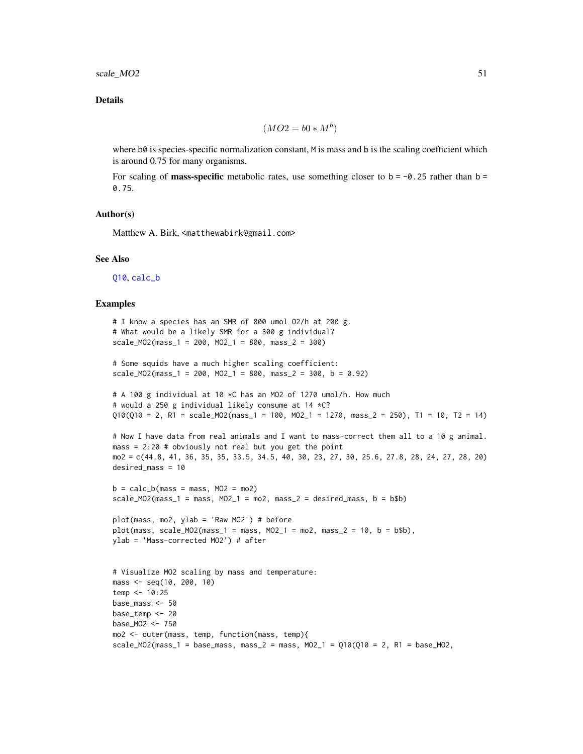# <span id="page-50-0"></span>Details

$$
(MO2 = b0 * M^b)
$$

where b0 is species-specific normalization constant, M is mass and b is the scaling coefficient which is around 0.75 for many organisms.

For scaling of **mass-specific** metabolic rates, use something closer to  $b = -0.25$  rather than  $b =$ 0.75.

#### Author(s)

Matthew A. Birk, <matthewabirk@gmail.com>

#### See Also

[Q10](#page-46-1), [calc\\_b](#page-3-1)

#### Examples

```
# I know a species has an SMR of 800 umol O2/h at 200 g.
# What would be a likely SMR for a 300 g individual?
scale_MO2(mass_1 = 200, MO2_1 = 800, mass_2 = 300)
# Some squids have a much higher scaling coefficient:
scale_MO2(mass_1 = 200, MO2_1 = 800, mass_2 = 300, b = 0.92)
# A 100 g individual at 10 *C has an MO2 of 1270 umol/h. How much
# would a 250 g individual likely consume at 14 *C?
Q10(Q10 = 2, R1 = scale_MO2(mass_1 = 100, MO2_1 = 1270, mass_2 = 250), T1 = 10, T2 = 14)
# Now I have data from real animals and I want to mass-correct them all to a 10 g animal.
mass = 2:20 # obviously not real but you get the point
mo2 = c(44.8, 41, 36, 35, 35, 33.5, 34.5, 40, 30, 23, 27, 30, 25.6, 27.8, 28, 24, 27, 28, 20)
desired_mass = 10
b = calc_b(mass = mass, MO2 = mo2)scale_MO2(mass_1 = mass, MO2_1 = mo2, mass_2 = desired_mass, b = b$b)plot(mass, mo2, ylab = 'Raw MO2') # beforeplot(mass, scale_M02(mass_1 = mass, MO2_1 = mo2, mass_2 = 10, b = b$b),ylab = 'Mass-corrected MO2') # after
# Visualize MO2 scaling by mass and temperature:
mass <- seq(10, 200, 10)
temp <- 10:25
base_mass <- 50
base_temp <- 20
base_MO2 <- 750
mo2 <- outer(mass, temp, function(mass, temp){
scale_MO2(mass_1 = base_mass, mass_2 = mass, MO2_1 = Q10(Q10 = 2, R1 = base_MO2,
```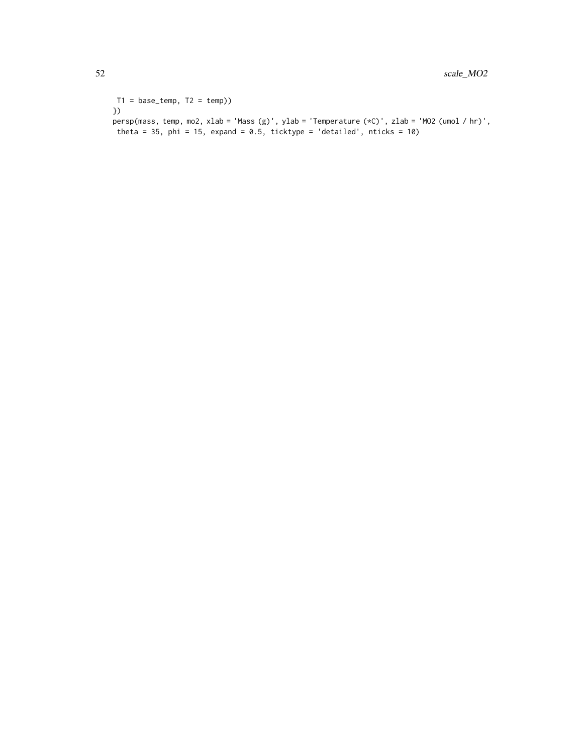```
T1 = base_ttemp, T2 = temp)})
persp(mass, temp, mo2, xlab = 'Mass (g)', ylab = 'Temperature (*C)', zlab = 'MO2 (umol / hr)',
 theta = 35, phi = 15, expand = 0.5, ticktype = 'detailed', nticks = 10)
```